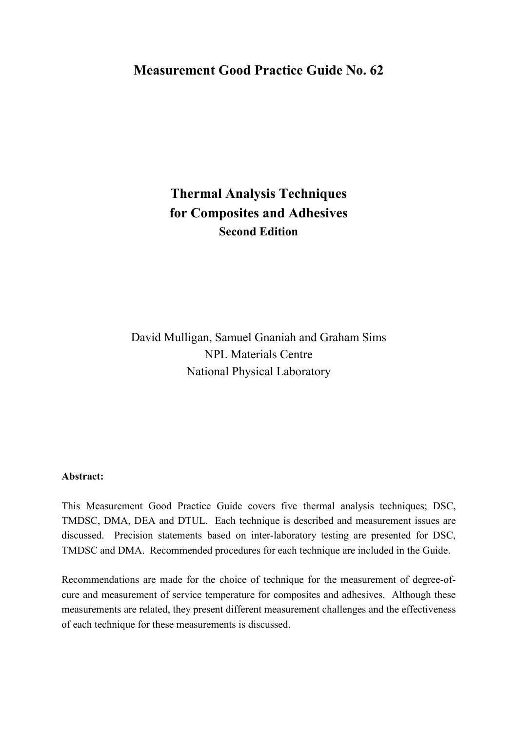## **Measurement Good Practice Guide No. 62**

# **Thermal Analysis Techniques for Composites and Adhesives Second Edition**

David Mulligan, Samuel Gnaniah and Graham Sims NPL Materials Centre National Physical Laboratory

#### **Abstract:**

This Measurement Good Practice Guide covers five thermal analysis techniques; DSC, TMDSC, DMA, DEA and DTUL. Each technique is described and measurement issues are discussed. Precision statements based on inter-laboratory testing are presented for DSC, TMDSC and DMA. Recommended procedures for each technique are included in the Guide.

Recommendations are made for the choice of technique for the measurement of degree-ofcure and measurement of service temperature for composites and adhesives. Although these measurements are related, they present different measurement challenges and the effectiveness of each technique for these measurements is discussed.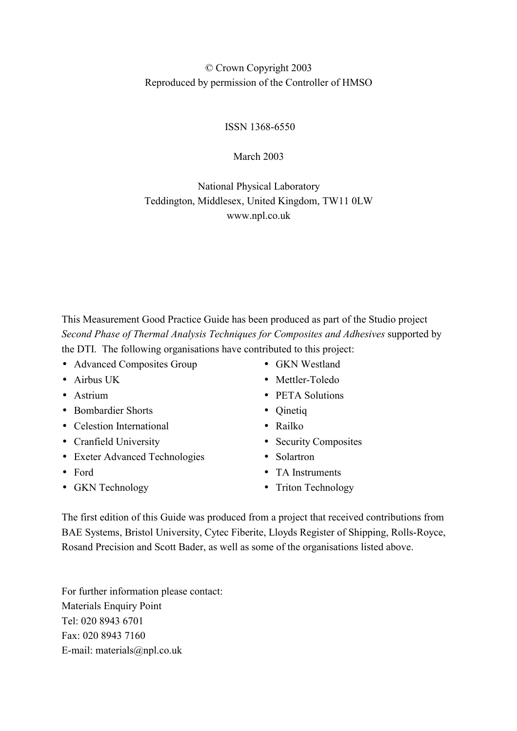## © Crown Copyright 2003 Reproduced by permission of the Controller of HMSO

ISSN 1368-6550

March 2003

## National Physical Laboratory Teddington, Middlesex, United Kingdom, TW11 0LW www.npl.co.uk

This Measurement Good Practice Guide has been produced as part of the Studio project *Second Phase of Thermal Analysis Techniques for Composites and Adhesives* supported by the DTI. The following organisations have contributed to this project:

- Advanced Composites Group
- Airbus UK
- Astrium
- Bombardier Shorts
- Celestion International
- Cranfield University
- Exeter Advanced Technologies
- Ford
- GKN Technology
- GKN Westland
- Mettler-Toledo
- PETA Solutions
- Qinetiq
- Railko
- Security Composites
- Solartron
- TA Instruments
- Triton Technology

The first edition of this Guide was produced from a project that received contributions from BAE Systems, Bristol University, Cytec Fiberite, Lloyds Register of Shipping, Rolls-Royce, Rosand Precision and Scott Bader, as well as some of the organisations listed above.

For further information please contact: Materials Enquiry Point Tel: 020 8943 6701 Fax: 020 8943 7160 E-mail: materials@npl.co.uk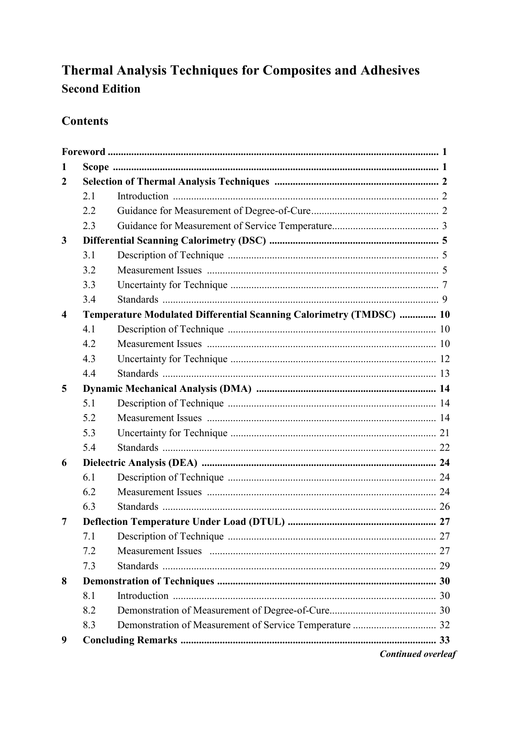# **Thermal Analysis Techniques for Composites and Adhesives Second Edition**

## **Contents**

| 1              |     |                                                                     |  |
|----------------|-----|---------------------------------------------------------------------|--|
| $\overline{2}$ |     |                                                                     |  |
|                | 2.1 |                                                                     |  |
|                | 2.2 |                                                                     |  |
|                | 2.3 |                                                                     |  |
| 3              |     |                                                                     |  |
|                | 3.1 |                                                                     |  |
|                | 3.2 |                                                                     |  |
|                | 3.3 |                                                                     |  |
|                | 3.4 |                                                                     |  |
| 4              |     | Temperature Modulated Differential Scanning Calorimetry (TMDSC)  10 |  |
|                | 4.1 |                                                                     |  |
|                | 4.2 |                                                                     |  |
|                | 4.3 |                                                                     |  |
|                | 4.4 |                                                                     |  |
| 5              |     |                                                                     |  |
|                | 5.1 |                                                                     |  |
|                | 5.2 |                                                                     |  |
|                | 5.3 |                                                                     |  |
|                | 5.4 |                                                                     |  |
| 6              |     |                                                                     |  |
|                | 6.1 |                                                                     |  |
|                | 6.2 |                                                                     |  |
|                | 6.3 |                                                                     |  |
| 7              |     |                                                                     |  |
|                |     |                                                                     |  |
|                | 7.2 |                                                                     |  |
|                | 7.3 |                                                                     |  |
| 8              |     |                                                                     |  |
|                | 8.1 |                                                                     |  |
|                | 8.2 |                                                                     |  |
|                | 8.3 |                                                                     |  |
| 9              |     |                                                                     |  |
|                |     | <b>Continued overleaf</b>                                           |  |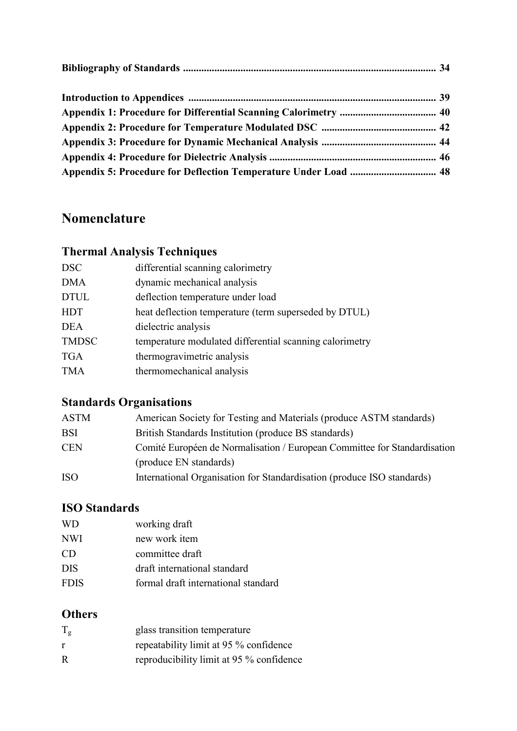# **Nomenclature**

## **Thermal Analysis Techniques**

| <b>DSC</b>   | differential scanning calorimetry                       |
|--------------|---------------------------------------------------------|
| <b>DMA</b>   | dynamic mechanical analysis                             |
| <b>DTUL</b>  | deflection temperature under load                       |
| <b>HDT</b>   | heat deflection temperature (term superseded by DTUL)   |
| <b>DEA</b>   | dielectric analysis                                     |
| <b>TMDSC</b> | temperature modulated differential scanning calorimetry |
| <b>TGA</b>   | thermogravimetric analysis                              |
| <b>TMA</b>   | thermomechanical analysis                               |
|              |                                                         |

## **Standards Organisations**

| ASTM       | American Society for Testing and Materials (produce ASTM standards)       |
|------------|---------------------------------------------------------------------------|
| BSI        | British Standards Institution (produce BS standards)                      |
| <b>CEN</b> | Comité Européen de Normalisation / European Committee for Standardisation |
|            | (produce EN standards)                                                    |
| ISO        | International Organisation for Standardisation (produce ISO standards)    |
|            |                                                                           |

## **ISO Standards**

| WD          | working draft                       |
|-------------|-------------------------------------|
| NWI         | new work item                       |
| CD          | committee draft                     |
| DIS         | draft international standard        |
| <b>FDIS</b> | formal draft international standard |
|             |                                     |

## **Others**

| $T_g$ | glass transition temperature             |
|-------|------------------------------------------|
|       | repeatability limit at 95 % confidence   |
| R     | reproducibility limit at 95 % confidence |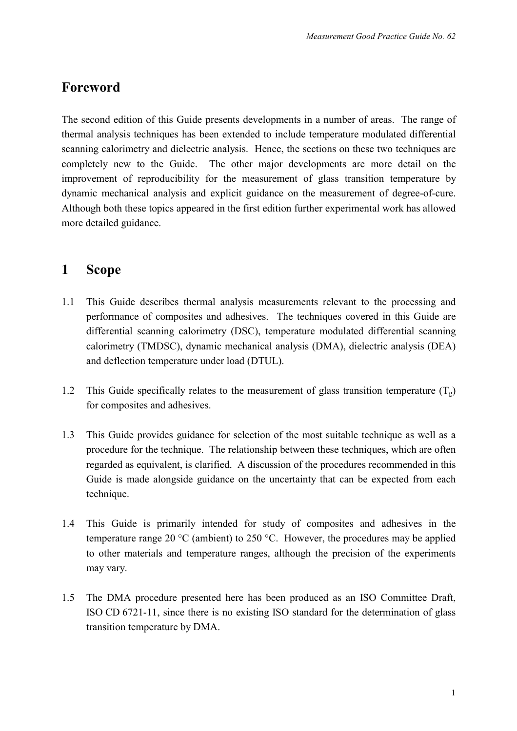## **Foreword**

The second edition of this Guide presents developments in a number of areas. The range of thermal analysis techniques has been extended to include temperature modulated differential scanning calorimetry and dielectric analysis. Hence, the sections on these two techniques are completely new to the Guide. The other major developments are more detail on the improvement of reproducibility for the measurement of glass transition temperature by dynamic mechanical analysis and explicit guidance on the measurement of degree-of-cure. Although both these topics appeared in the first edition further experimental work has allowed more detailed guidance.

## **1 Scope**

- 1.1 This Guide describes thermal analysis measurements relevant to the processing and performance of composites and adhesives. The techniques covered in this Guide are differential scanning calorimetry (DSC), temperature modulated differential scanning calorimetry (TMDSC), dynamic mechanical analysis (DMA), dielectric analysis (DEA) and deflection temperature under load (DTUL).
- 1.2 This Guide specifically relates to the measurement of glass transition temperature  $(T_g)$ for composites and adhesives.
- 1.3 This Guide provides guidance for selection of the most suitable technique as well as a procedure for the technique. The relationship between these techniques, which are often regarded as equivalent, is clarified. A discussion of the procedures recommended in this Guide is made alongside guidance on the uncertainty that can be expected from each technique.
- 1.4 This Guide is primarily intended for study of composites and adhesives in the temperature range 20 °C (ambient) to 250 °C. However, the procedures may be applied to other materials and temperature ranges, although the precision of the experiments may vary.
- 1.5 The DMA procedure presented here has been produced as an ISO Committee Draft, ISO CD 6721-11, since there is no existing ISO standard for the determination of glass transition temperature by DMA.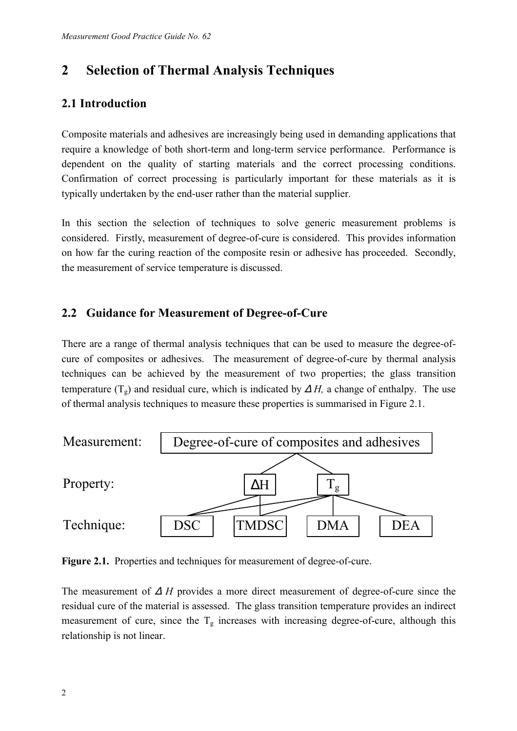## **2 Selection of Thermal Analysis Techniques**

## **2.1 Introduction**

Composite materials and adhesives are increasingly being used in demanding applications that require a knowledge of both short-term and long-term service performance. Performance is dependent on the quality of starting materials and the correct processing conditions. Confirmation of correct processing is particularly important for these materials as it is typically undertaken by the end-user rather than the material supplier.

In this section the selection of techniques to solve generic measurement problems is considered. Firstly, measurement of degree-of-cure is considered. This provides information on how far the curing reaction of the composite resin or adhesive has proceeded. Secondly, the measurement of service temperature is discussed.

## **2.2 Guidance for Measurement of Degree-of-Cure**

There are a range of thermal analysis techniques that can be used to measure the degree-ofcure of composites or adhesives. The measurement of degree-of-cure by thermal analysis techniques can be achieved by the measurement of two properties; the glass transition temperature ( $T_g$ ) and residual cure, which is indicated by  $\Delta H$ , a change of enthalpy. The use of thermal analysis techniques to measure these properties is summarised in Figure 2.1.



Figure 2.1. Properties and techniques for measurement of degree-of-cure.

The measurement of ∆ *H* provides a more direct measurement of degree-of-cure since the residual cure of the material is assessed. The glass transition temperature provides an indirect measurement of cure, since the  $T_g$  increases with increasing degree-of-cure, although this relationship is not linear.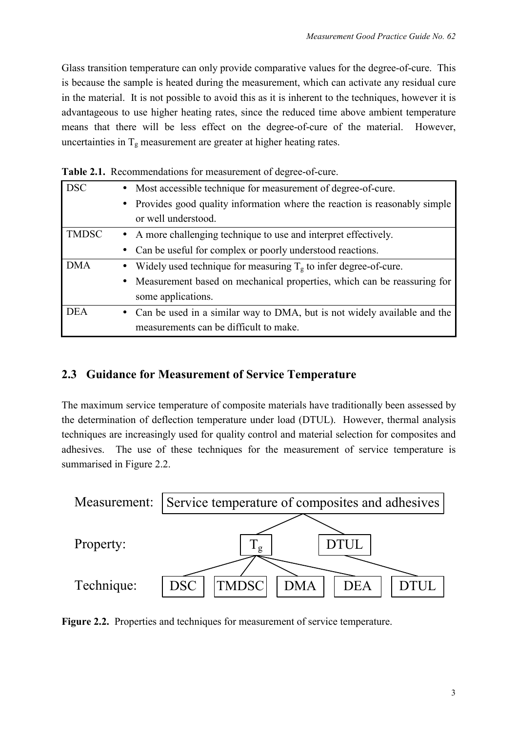Glass transition temperature can only provide comparative values for the degree-of-cure. This is because the sample is heated during the measurement, which can activate any residual cure in the material. It is not possible to avoid this as it is inherent to the techniques, however it is advantageous to use higher heating rates, since the reduced time above ambient temperature means that there will be less effect on the degree-of-cure of the material. However, uncertainties in  $T_g$  measurement are greater at higher heating rates.

| <b>DSC</b>   |           | • Most accessible technique for measurement of degree-of-cure.             |  |  |  |
|--------------|-----------|----------------------------------------------------------------------------|--|--|--|
|              | $\bullet$ | Provides good quality information where the reaction is reasonably simple  |  |  |  |
|              |           | or well understood.                                                        |  |  |  |
| <b>TMDSC</b> |           | • A more challenging technique to use and interpret effectively.           |  |  |  |
|              |           | Can be useful for complex or poorly understood reactions.                  |  |  |  |
| <b>DMA</b>   |           | Widely used technique for measuring $T_g$ to infer degree-of-cure.         |  |  |  |
|              |           | • Measurement based on mechanical properties, which can be reassuring for  |  |  |  |
|              |           | some applications.                                                         |  |  |  |
| <b>DEA</b>   |           | • Can be used in a similar way to DMA, but is not widely available and the |  |  |  |
|              |           | measurements can be difficult to make.                                     |  |  |  |

**Table 2.1.** Recommendations for measurement of degree-of-cure.

## **2.3 Guidance for Measurement of Service Temperature**

The maximum service temperature of composite materials have traditionally been assessed by the determination of deflection temperature under load (DTUL). However, thermal analysis techniques are increasingly used for quality control and material selection for composites and adhesives. The use of these techniques for the measurement of service temperature is summarised in Figure 2.2.



**Figure 2.2.** Properties and techniques for measurement of service temperature.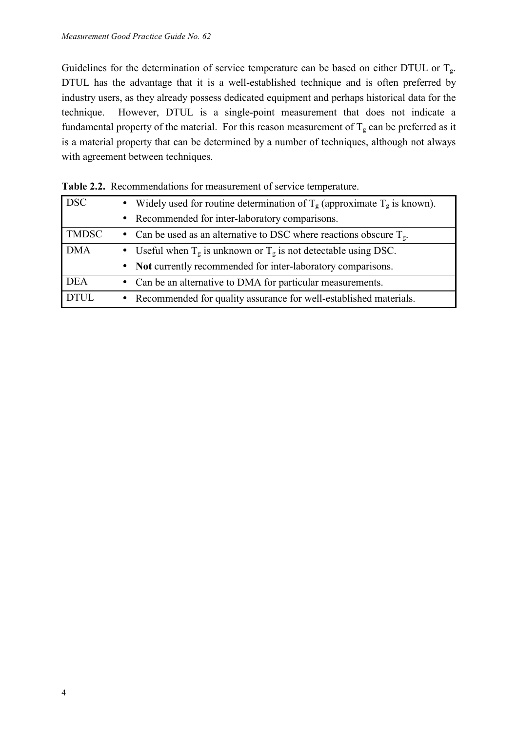Guidelines for the determination of service temperature can be based on either DTUL or  $T_g$ . DTUL has the advantage that it is a well-established technique and is often preferred by industry users, as they already possess dedicated equipment and perhaps historical data for the technique. However, DTUL is a single-point measurement that does not indicate a fundamental property of the material. For this reason measurement of  $T_g$  can be preferred as it is a material property that can be determined by a number of techniques, although not always with agreement between techniques.

|              | <b>Table 2.2.</b> INNOITHING Rations for incasurement of set vice temperature.            |  |  |  |
|--------------|-------------------------------------------------------------------------------------------|--|--|--|
| <b>DSC</b>   | Widely used for routine determination of $T_g$ (approximate $T_g$ is known).<br>$\bullet$ |  |  |  |
|              | • Recommended for inter-laboratory comparisons.                                           |  |  |  |
| <b>TMDSC</b> | • Can be used as an alternative to DSC where reactions obscure $T_g$ .                    |  |  |  |
| <b>DMA</b>   | • Useful when $T_g$ is unknown or $T_g$ is not detectable using DSC.                      |  |  |  |
|              | • Not currently recommended for inter-laboratory comparisons.                             |  |  |  |
| <b>DEA</b>   | • Can be an alternative to DMA for particular measurements.                               |  |  |  |
| <b>DTUL</b>  | • Recommended for quality assurance for well-established materials.                       |  |  |  |

| Table 2.2. Recommendations for measurement of service temperature. |  |
|--------------------------------------------------------------------|--|
|--------------------------------------------------------------------|--|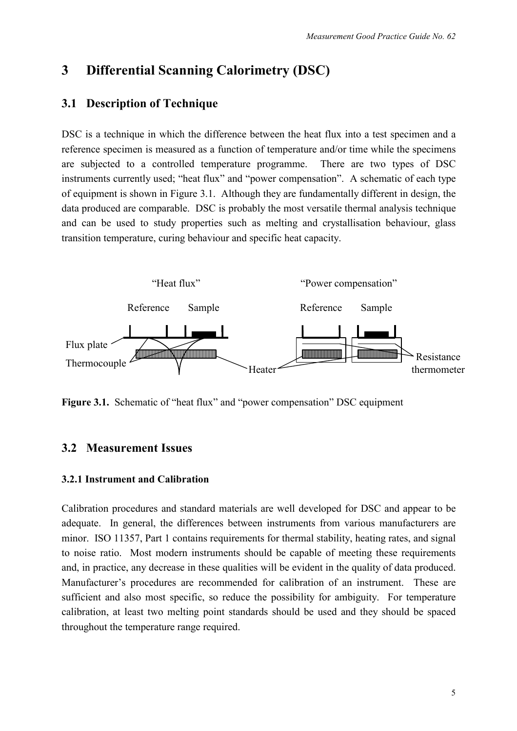## **3 Differential Scanning Calorimetry (DSC)**

### **3.1 Description of Technique**

DSC is a technique in which the difference between the heat flux into a test specimen and a reference specimen is measured as a function of temperature and/or time while the specimens are subjected to a controlled temperature programme. There are two types of DSC instruments currently used; "heat flux" and "power compensation". A schematic of each type of equipment is shown in Figure 3.1. Although they are fundamentally different in design, the data produced are comparable. DSC is probably the most versatile thermal analysis technique and can be used to study properties such as melting and crystallisation behaviour, glass transition temperature, curing behaviour and specific heat capacity.



**Figure 3.1.** Schematic of "heat flux" and "power compensation" DSC equipment

## **3.2 Measurement Issues**

#### **3.2.1 Instrument and Calibration**

Calibration procedures and standard materials are well developed for DSC and appear to be adequate. In general, the differences between instruments from various manufacturers are minor. ISO 11357, Part 1 contains requirements for thermal stability, heating rates, and signal to noise ratio. Most modern instruments should be capable of meeting these requirements and, in practice, any decrease in these qualities will be evident in the quality of data produced. Manufacturer's procedures are recommended for calibration of an instrument. These are sufficient and also most specific, so reduce the possibility for ambiguity. For temperature calibration, at least two melting point standards should be used and they should be spaced throughout the temperature range required.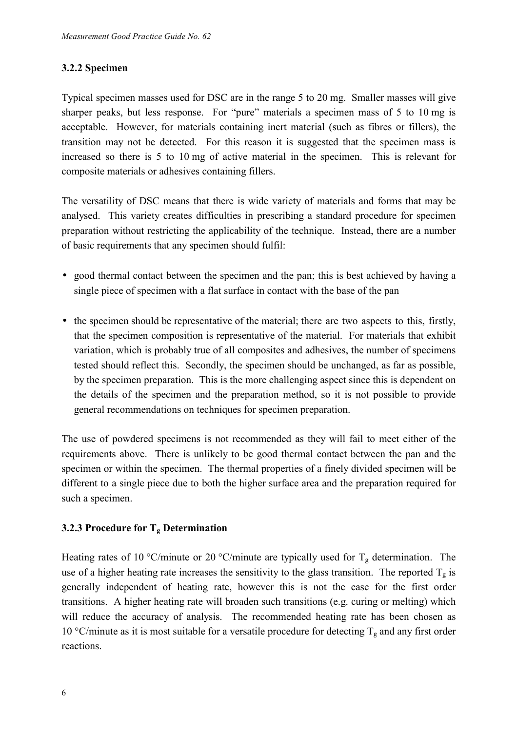#### **3.2.2 Specimen**

Typical specimen masses used for DSC are in the range 5 to 20 mg. Smaller masses will give sharper peaks, but less response. For "pure" materials a specimen mass of 5 to 10 mg is acceptable. However, for materials containing inert material (such as fibres or fillers), the transition may not be detected. For this reason it is suggested that the specimen mass is increased so there is 5 to 10 mg of active material in the specimen. This is relevant for composite materials or adhesives containing fillers.

The versatility of DSC means that there is wide variety of materials and forms that may be analysed. This variety creates difficulties in prescribing a standard procedure for specimen preparation without restricting the applicability of the technique. Instead, there are a number of basic requirements that any specimen should fulfil:

- good thermal contact between the specimen and the pan; this is best achieved by having a single piece of specimen with a flat surface in contact with the base of the pan
- the specimen should be representative of the material; there are two aspects to this, firstly, that the specimen composition is representative of the material. For materials that exhibit variation, which is probably true of all composites and adhesives, the number of specimens tested should reflect this. Secondly, the specimen should be unchanged, as far as possible, by the specimen preparation. This is the more challenging aspect since this is dependent on the details of the specimen and the preparation method, so it is not possible to provide general recommendations on techniques for specimen preparation.

The use of powdered specimens is not recommended as they will fail to meet either of the requirements above. There is unlikely to be good thermal contact between the pan and the specimen or within the specimen. The thermal properties of a finely divided specimen will be different to a single piece due to both the higher surface area and the preparation required for such a specimen.

#### **3.2.3 Procedure for Tg Determination**

Heating rates of 10 °C/minute or 20 °C/minute are typically used for  $T_g$  determination. The use of a higher heating rate increases the sensitivity to the glass transition. The reported  $T_g$  is generally independent of heating rate, however this is not the case for the first order transitions. A higher heating rate will broaden such transitions (e.g. curing or melting) which will reduce the accuracy of analysis. The recommended heating rate has been chosen as 10 °C/minute as it is most suitable for a versatile procedure for detecting  $T_g$  and any first order reactions.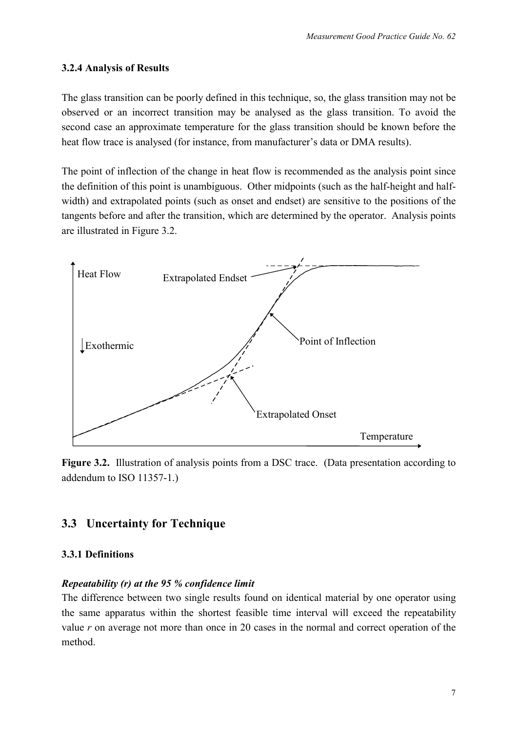#### **3.2.4 Analysis of Results**

The glass transition can be poorly defined in this technique, so, the glass transition may not be observed or an incorrect transition may be analysed as the glass transition. To avoid the second case an approximate temperature for the glass transition should be known before the heat flow trace is analysed (for instance, from manufacturer's data or DMA results).

The point of inflection of the change in heat flow is recommended as the analysis point since the definition of this point is unambiguous. Other midpoints (such as the half-height and halfwidth) and extrapolated points (such as onset and endset) are sensitive to the positions of the tangents before and after the transition, which are determined by the operator. Analysis points are illustrated in Figure 3.2.



**Figure 3.2.** Illustration of analysis points from a DSC trace. (Data presentation according to addendum to ISO 11357-1.)

## **3.3 Uncertainty for Technique**

#### **3.3.1 Definitions**

#### *Repeatability (r) at the 95 % confidence limit*

The difference between two single results found on identical material by one operator using the same apparatus within the shortest feasible time interval will exceed the repeatability value *r* on average not more than once in 20 cases in the normal and correct operation of the method.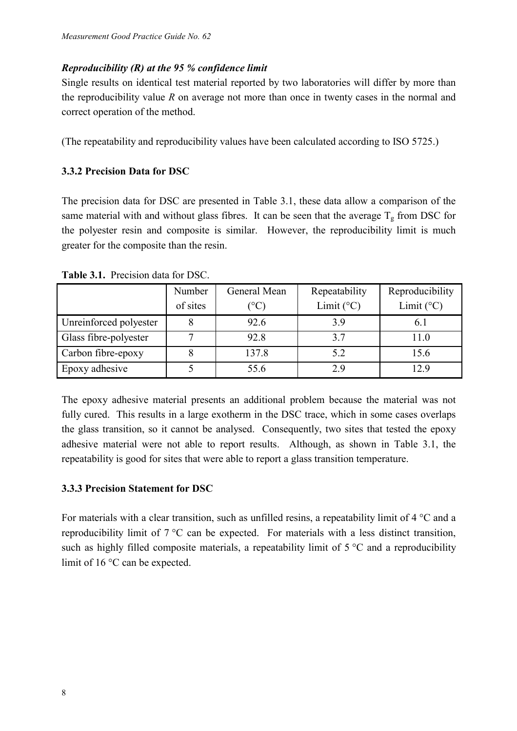#### *Reproducibility (R) at the 95 % confidence limit*

Single results on identical test material reported by two laboratories will differ by more than the reproducibility value *R* on average not more than once in twenty cases in the normal and correct operation of the method.

(The repeatability and reproducibility values have been calculated according to ISO 5725.)

#### **3.3.2 Precision Data for DSC**

The precision data for DSC are presented in Table 3.1, these data allow a comparison of the same material with and without glass fibres. It can be seen that the average  $T_g$  from DSC for the polyester resin and composite is similar. However, the reproducibility limit is much greater for the composite than the resin.

|                        | Number   | General Mean    | Repeatability       | Reproducibility     |
|------------------------|----------|-----------------|---------------------|---------------------|
|                        | of sites | $\rm ^{\circ}C$ | Limit $(^{\circ}C)$ | Limit $(^{\circ}C)$ |
| Unreinforced polyester |          | 92.6            | 3.9                 | 0.1                 |
| Glass fibre-polyester  |          | 92.8            | 37                  | 11.0                |
| Carbon fibre-epoxy     |          | 137.8           | 5.2                 | 15.6                |
| Epoxy adhesive         |          | 55.6            | 2.9                 | 12.9                |

**Table 3.1.** Precision data for DSC.

The epoxy adhesive material presents an additional problem because the material was not fully cured. This results in a large exotherm in the DSC trace, which in some cases overlaps the glass transition, so it cannot be analysed. Consequently, two sites that tested the epoxy adhesive material were not able to report results. Although, as shown in Table 3.1, the repeatability is good for sites that were able to report a glass transition temperature.

#### **3.3.3 Precision Statement for DSC**

For materials with a clear transition, such as unfilled resins, a repeatability limit of 4 °C and a reproducibility limit of 7 °C can be expected. For materials with a less distinct transition, such as highly filled composite materials, a repeatability limit of  $5^{\circ}$ C and a reproducibility limit of 16 °C can be expected.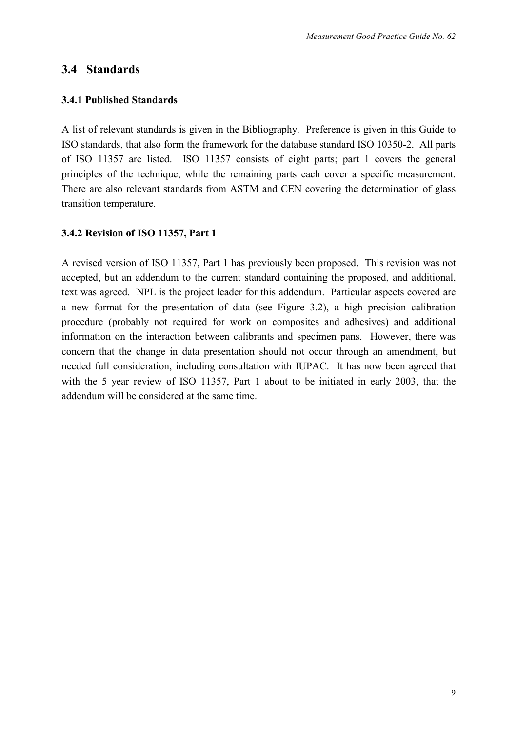#### **3.4 Standards**

#### **3.4.1 Published Standards**

A list of relevant standards is given in the Bibliography. Preference is given in this Guide to ISO standards, that also form the framework for the database standard ISO 10350-2. All parts of ISO 11357 are listed. ISO 11357 consists of eight parts; part 1 covers the general principles of the technique, while the remaining parts each cover a specific measurement. There are also relevant standards from ASTM and CEN covering the determination of glass transition temperature.

#### **3.4.2 Revision of ISO 11357, Part 1**

A revised version of ISO 11357, Part 1 has previously been proposed. This revision was not accepted, but an addendum to the current standard containing the proposed, and additional, text was agreed. NPL is the project leader for this addendum. Particular aspects covered are a new format for the presentation of data (see Figure 3.2), a high precision calibration procedure (probably not required for work on composites and adhesives) and additional information on the interaction between calibrants and specimen pans. However, there was concern that the change in data presentation should not occur through an amendment, but needed full consideration, including consultation with IUPAC. It has now been agreed that with the 5 year review of ISO 11357, Part 1 about to be initiated in early 2003, that the addendum will be considered at the same time.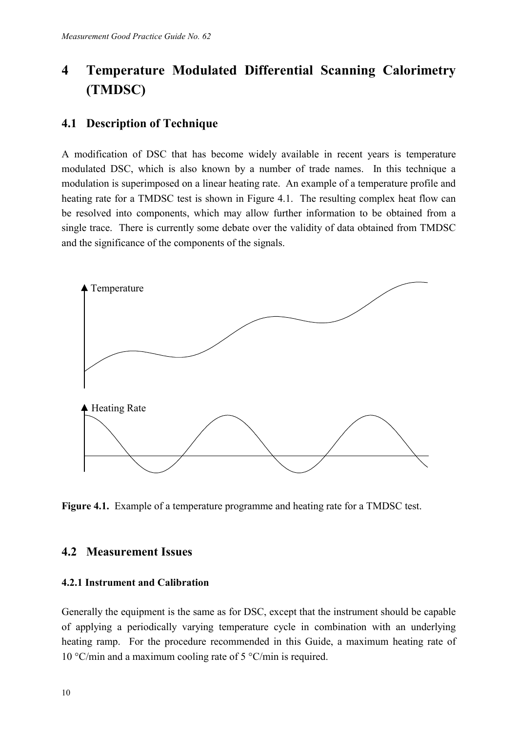# **4 Temperature Modulated Differential Scanning Calorimetry (TMDSC)**

## **4.1 Description of Technique**

A modification of DSC that has become widely available in recent years is temperature modulated DSC, which is also known by a number of trade names. In this technique a modulation is superimposed on a linear heating rate. An example of a temperature profile and heating rate for a TMDSC test is shown in Figure 4.1. The resulting complex heat flow can be resolved into components, which may allow further information to be obtained from a single trace. There is currently some debate over the validity of data obtained from TMDSC and the significance of the components of the signals.



**Figure 4.1.** Example of a temperature programme and heating rate for a TMDSC test.

## **4.2 Measurement Issues**

#### **4.2.1 Instrument and Calibration**

Generally the equipment is the same as for DSC, except that the instrument should be capable of applying a periodically varying temperature cycle in combination with an underlying heating ramp. For the procedure recommended in this Guide, a maximum heating rate of 10 °C/min and a maximum cooling rate of 5 °C/min is required.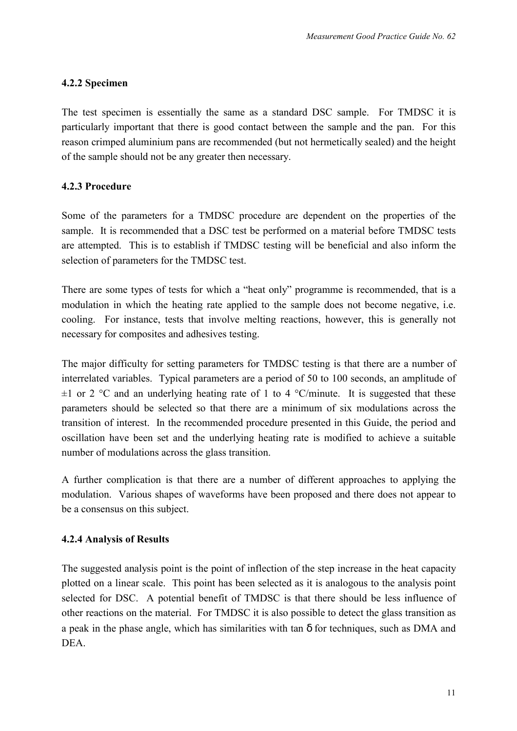#### **4.2.2 Specimen**

The test specimen is essentially the same as a standard DSC sample. For TMDSC it is particularly important that there is good contact between the sample and the pan. For this reason crimped aluminium pans are recommended (but not hermetically sealed) and the height of the sample should not be any greater then necessary.

#### **4.2.3 Procedure**

Some of the parameters for a TMDSC procedure are dependent on the properties of the sample. It is recommended that a DSC test be performed on a material before TMDSC tests are attempted. This is to establish if TMDSC testing will be beneficial and also inform the selection of parameters for the TMDSC test.

There are some types of tests for which a "heat only" programme is recommended, that is a modulation in which the heating rate applied to the sample does not become negative, i.e. cooling. For instance, tests that involve melting reactions, however, this is generally not necessary for composites and adhesives testing.

The major difficulty for setting parameters for TMDSC testing is that there are a number of interrelated variables. Typical parameters are a period of 50 to 100 seconds, an amplitude of  $\pm 1$  or 2 °C and an underlying heating rate of 1 to 4 °C/minute. It is suggested that these parameters should be selected so that there are a minimum of six modulations across the transition of interest. In the recommended procedure presented in this Guide, the period and oscillation have been set and the underlying heating rate is modified to achieve a suitable number of modulations across the glass transition.

A further complication is that there are a number of different approaches to applying the modulation. Various shapes of waveforms have been proposed and there does not appear to be a consensus on this subject.

#### **4.2.4 Analysis of Results**

The suggested analysis point is the point of inflection of the step increase in the heat capacity plotted on a linear scale. This point has been selected as it is analogous to the analysis point selected for DSC. A potential benefit of TMDSC is that there should be less influence of other reactions on the material. For TMDSC it is also possible to detect the glass transition as a peak in the phase angle, which has similarities with tan δ for techniques, such as DMA and **DEA**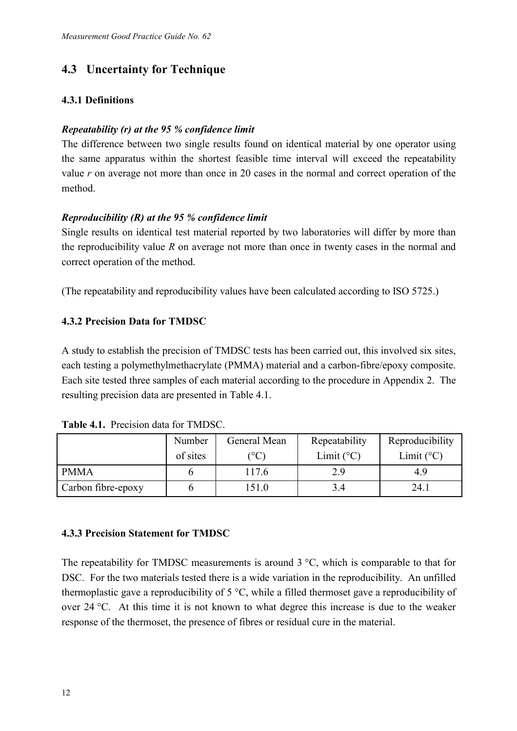## **4.3 Uncertainty for Technique**

#### **4.3.1 Definitions**

#### *Repeatability (r) at the 95 % confidence limit*

The difference between two single results found on identical material by one operator using the same apparatus within the shortest feasible time interval will exceed the repeatability value *r* on average not more than once in 20 cases in the normal and correct operation of the method.

#### *Reproducibility (R) at the 95 % confidence limit*

Single results on identical test material reported by two laboratories will differ by more than the reproducibility value *R* on average not more than once in twenty cases in the normal and correct operation of the method.

(The repeatability and reproducibility values have been calculated according to ISO 5725.)

#### **4.3.2 Precision Data for TMDSC**

A study to establish the precision of TMDSC tests has been carried out, this involved six sites, each testing a polymethylmethacrylate (PMMA) material and a carbon-fibre/epoxy composite. Each site tested three samples of each material according to the procedure in Appendix 2. The resulting precision data are presented in Table 4.1.

|                    | Number<br>of sites | General Mean<br>$^{\circ}$ C) | Repeatability<br>Limit $(^{\circ}C)$ | Reproducibility<br>Limit $(^{\circ}C)$ |
|--------------------|--------------------|-------------------------------|--------------------------------------|----------------------------------------|
| <b>PMMA</b>        |                    | 117.6                         | 2.9                                  | 49                                     |
| Carbon fibre-epoxy |                    | 51.0                          | 3.4                                  | 24.1                                   |

| <b>Table 4.1.</b> Precision data for TMDSC. |  |  |
|---------------------------------------------|--|--|
|                                             |  |  |

#### **4.3.3 Precision Statement for TMDSC**

The repeatability for TMDSC measurements is around  $3^{\circ}$ C, which is comparable to that for DSC. For the two materials tested there is a wide variation in the reproducibility. An unfilled thermoplastic gave a reproducibility of 5 °C, while a filled thermoset gave a reproducibility of over 24 °C. At this time it is not known to what degree this increase is due to the weaker response of the thermoset, the presence of fibres or residual cure in the material.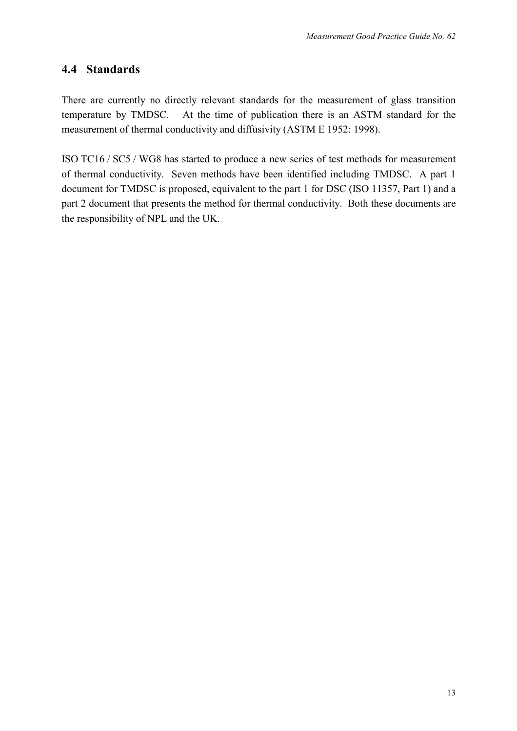## **4.4 Standards**

There are currently no directly relevant standards for the measurement of glass transition temperature by TMDSC. At the time of publication there is an ASTM standard for the measurement of thermal conductivity and diffusivity (ASTM E 1952: 1998).

ISO TC16 / SC5 / WG8 has started to produce a new series of test methods for measurement of thermal conductivity. Seven methods have been identified including TMDSC. A part 1 document for TMDSC is proposed, equivalent to the part 1 for DSC (ISO 11357, Part 1) and a part 2 document that presents the method for thermal conductivity. Both these documents are the responsibility of NPL and the UK.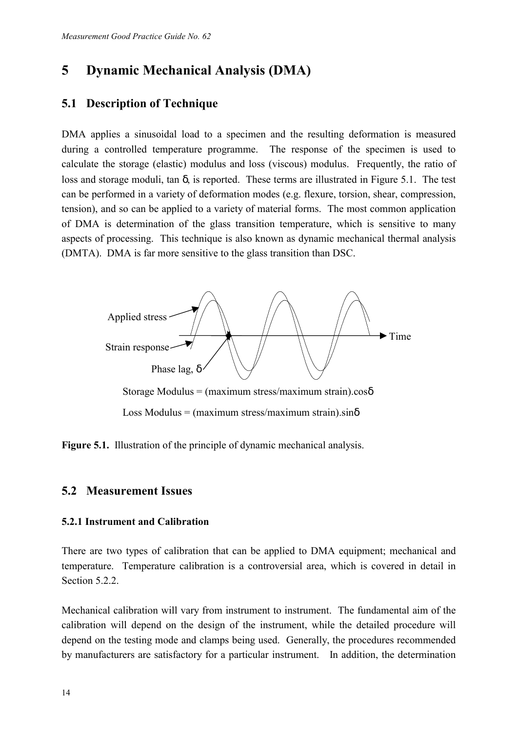## **5 Dynamic Mechanical Analysis (DMA)**

### **5.1 Description of Technique**

DMA applies a sinusoidal load to a specimen and the resulting deformation is measured during a controlled temperature programme. The response of the specimen is used to calculate the storage (elastic) modulus and loss (viscous) modulus. Frequently, the ratio of loss and storage moduli, tan δ, is reported. These terms are illustrated in Figure 5.1. The test can be performed in a variety of deformation modes (e.g. flexure, torsion, shear, compression, tension), and so can be applied to a variety of material forms. The most common application of DMA is determination of the glass transition temperature, which is sensitive to many aspects of processing. This technique is also known as dynamic mechanical thermal analysis (DMTA). DMA is far more sensitive to the glass transition than DSC.



**Figure 5.1.** Illustration of the principle of dynamic mechanical analysis.

#### **5.2 Measurement Issues**

#### **5.2.1 Instrument and Calibration**

There are two types of calibration that can be applied to DMA equipment; mechanical and temperature. Temperature calibration is a controversial area, which is covered in detail in Section 5.2.2.

Mechanical calibration will vary from instrument to instrument. The fundamental aim of the calibration will depend on the design of the instrument, while the detailed procedure will depend on the testing mode and clamps being used. Generally, the procedures recommended by manufacturers are satisfactory for a particular instrument. In addition, the determination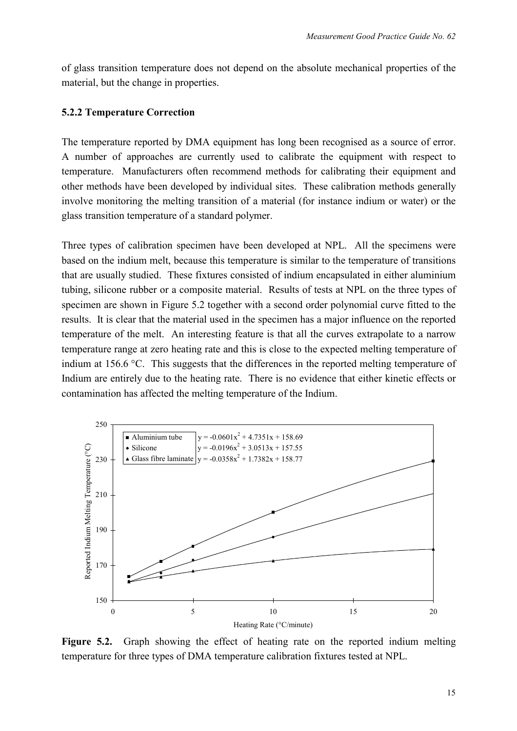of glass transition temperature does not depend on the absolute mechanical properties of the material, but the change in properties.

#### **5.2.2 Temperature Correction**

The temperature reported by DMA equipment has long been recognised as a source of error. A number of approaches are currently used to calibrate the equipment with respect to temperature. Manufacturers often recommend methods for calibrating their equipment and other methods have been developed by individual sites. These calibration methods generally involve monitoring the melting transition of a material (for instance indium or water) or the glass transition temperature of a standard polymer.

Three types of calibration specimen have been developed at NPL. All the specimens were based on the indium melt, because this temperature is similar to the temperature of transitions that are usually studied. These fixtures consisted of indium encapsulated in either aluminium tubing, silicone rubber or a composite material. Results of tests at NPL on the three types of specimen are shown in Figure 5.2 together with a second order polynomial curve fitted to the results. It is clear that the material used in the specimen has a major influence on the reported temperature of the melt. An interesting feature is that all the curves extrapolate to a narrow temperature range at zero heating rate and this is close to the expected melting temperature of indium at 156.6 °C. This suggests that the differences in the reported melting temperature of Indium are entirely due to the heating rate. There is no evidence that either kinetic effects or contamination has affected the melting temperature of the Indium.



**Figure 5.2.** Graph showing the effect of heating rate on the reported indium melting temperature for three types of DMA temperature calibration fixtures tested at NPL.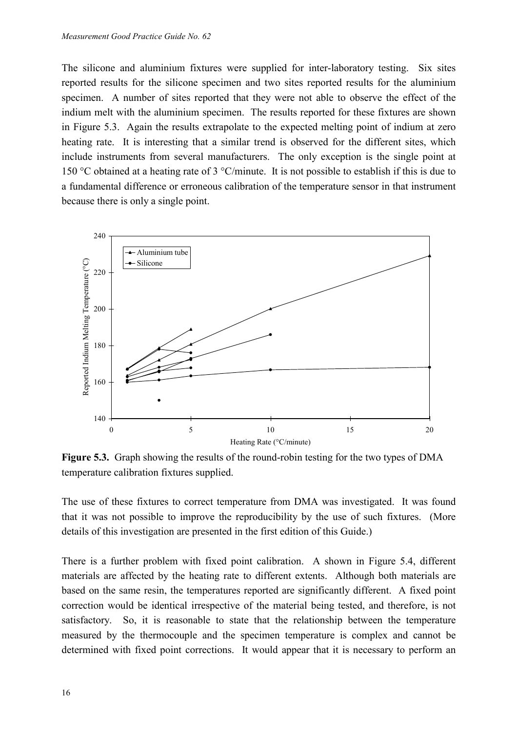The silicone and aluminium fixtures were supplied for inter-laboratory testing. Six sites reported results for the silicone specimen and two sites reported results for the aluminium specimen. A number of sites reported that they were not able to observe the effect of the indium melt with the aluminium specimen. The results reported for these fixtures are shown in Figure 5.3. Again the results extrapolate to the expected melting point of indium at zero heating rate. It is interesting that a similar trend is observed for the different sites, which include instruments from several manufacturers. The only exception is the single point at 150 °C obtained at a heating rate of 3 °C/minute. It is not possible to establish if this is due to a fundamental difference or erroneous calibration of the temperature sensor in that instrument because there is only a single point.



**Figure 5.3.** Graph showing the results of the round-robin testing for the two types of DMA temperature calibration fixtures supplied.

The use of these fixtures to correct temperature from DMA was investigated. It was found that it was not possible to improve the reproducibility by the use of such fixtures. (More details of this investigation are presented in the first edition of this Guide.)

There is a further problem with fixed point calibration. A shown in Figure 5.4, different materials are affected by the heating rate to different extents. Although both materials are based on the same resin, the temperatures reported are significantly different. A fixed point correction would be identical irrespective of the material being tested, and therefore, is not satisfactory. So, it is reasonable to state that the relationship between the temperature measured by the thermocouple and the specimen temperature is complex and cannot be determined with fixed point corrections. It would appear that it is necessary to perform an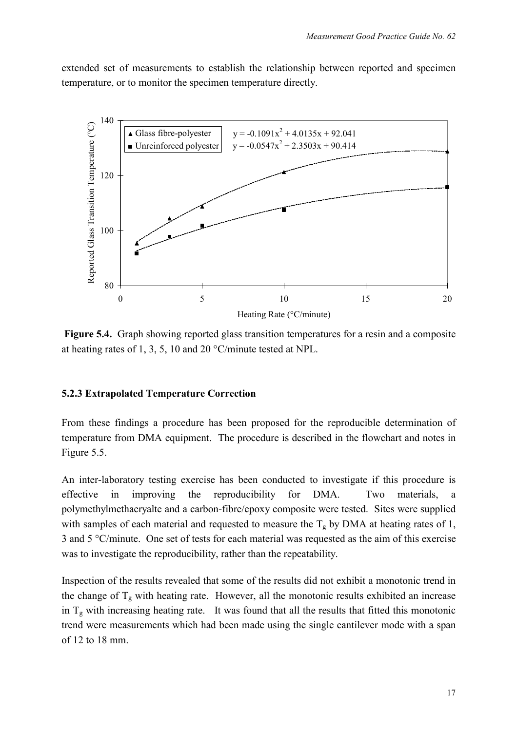extended set of measurements to establish the relationship between reported and specimen temperature, or to monitor the specimen temperature directly.



 **Figure 5.4.** Graph showing reported glass transition temperatures for a resin and a composite at heating rates of 1, 3, 5, 10 and 20 °C/minute tested at NPL.

#### **5.2.3 Extrapolated Temperature Correction**

From these findings a procedure has been proposed for the reproducible determination of temperature from DMA equipment. The procedure is described in the flowchart and notes in Figure 5.5.

An inter-laboratory testing exercise has been conducted to investigate if this procedure is effective in improving the reproducibility for DMA. Two materials, a polymethylmethacryalte and a carbon-fibre/epoxy composite were tested. Sites were supplied with samples of each material and requested to measure the  $T_g$  by DMA at heating rates of 1, 3 and 5 °C/minute. One set of tests for each material was requested as the aim of this exercise was to investigate the reproducibility, rather than the repeatability.

Inspection of the results revealed that some of the results did not exhibit a monotonic trend in the change of  $T_g$  with heating rate. However, all the monotonic results exhibited an increase in  $T_g$  with increasing heating rate. It was found that all the results that fitted this monotonic trend were measurements which had been made using the single cantilever mode with a span of 12 to 18 mm.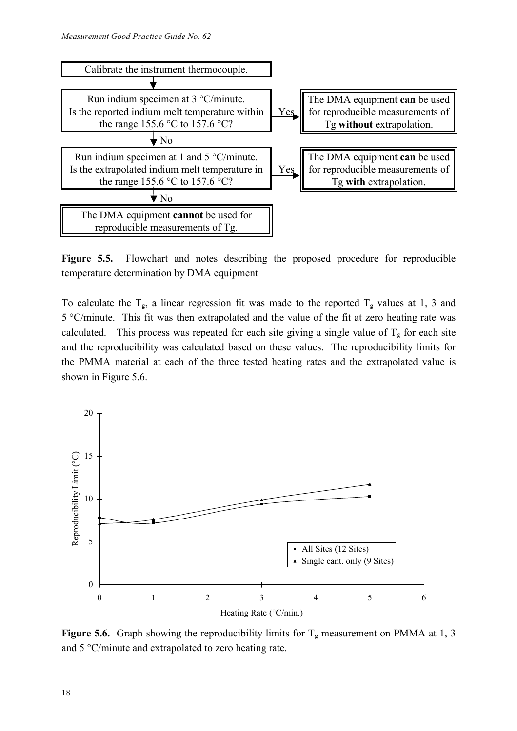

**Figure 5.5.** Flowchart and notes describing the proposed procedure for reproducible temperature determination by DMA equipment

To calculate the  $T_g$ , a linear regression fit was made to the reported  $T_g$  values at 1, 3 and 5 °C/minute. This fit was then extrapolated and the value of the fit at zero heating rate was calculated. This process was repeated for each site giving a single value of  $T_g$  for each site and the reproducibility was calculated based on these values. The reproducibility limits for the PMMA material at each of the three tested heating rates and the extrapolated value is shown in Figure 5.6.



**Figure 5.6.** Graph showing the reproducibility limits for  $T_g$  measurement on PMMA at 1, 3 and 5 °C/minute and extrapolated to zero heating rate.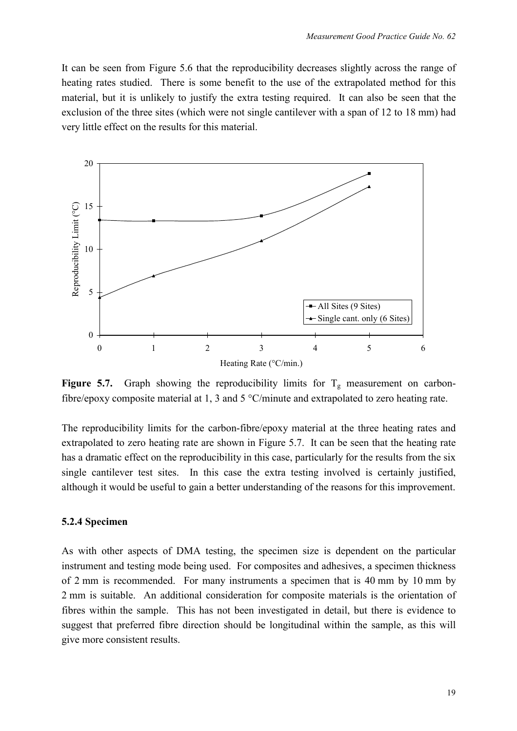It can be seen from Figure 5.6 that the reproducibility decreases slightly across the range of heating rates studied. There is some benefit to the use of the extrapolated method for this material, but it is unlikely to justify the extra testing required. It can also be seen that the exclusion of the three sites (which were not single cantilever with a span of 12 to 18 mm) had very little effect on the results for this material.



**Figure 5.7.** Graph showing the reproducibility limits for  $T_g$  measurement on carbonfibre/epoxy composite material at 1, 3 and 5 °C/minute and extrapolated to zero heating rate.

The reproducibility limits for the carbon-fibre/epoxy material at the three heating rates and extrapolated to zero heating rate are shown in Figure 5.7. It can be seen that the heating rate has a dramatic effect on the reproducibility in this case, particularly for the results from the six single cantilever test sites. In this case the extra testing involved is certainly justified, although it would be useful to gain a better understanding of the reasons for this improvement.

#### **5.2.4 Specimen**

As with other aspects of DMA testing, the specimen size is dependent on the particular instrument and testing mode being used. For composites and adhesives, a specimen thickness of 2 mm is recommended. For many instruments a specimen that is 40 mm by 10 mm by 2 mm is suitable. An additional consideration for composite materials is the orientation of fibres within the sample. This has not been investigated in detail, but there is evidence to suggest that preferred fibre direction should be longitudinal within the sample, as this will give more consistent results.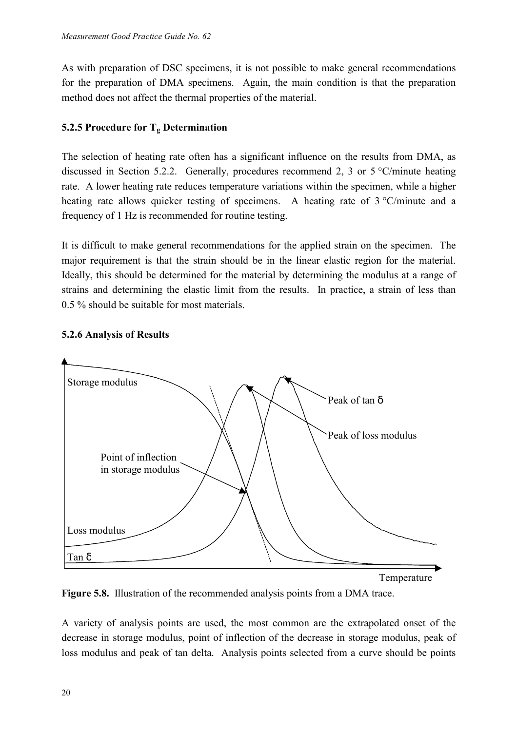As with preparation of DSC specimens, it is not possible to make general recommendations for the preparation of DMA specimens. Again, the main condition is that the preparation method does not affect the thermal properties of the material.

#### **5.2.5 Procedure for Tg Determination**

The selection of heating rate often has a significant influence on the results from DMA, as discussed in Section 5.2.2. Generally, procedures recommend 2, 3 or 5 °C/minute heating rate. A lower heating rate reduces temperature variations within the specimen, while a higher heating rate allows quicker testing of specimens. A heating rate of 3 °C/minute and a frequency of 1 Hz is recommended for routine testing.

It is difficult to make general recommendations for the applied strain on the specimen. The major requirement is that the strain should be in the linear elastic region for the material. Ideally, this should be determined for the material by determining the modulus at a range of strains and determining the elastic limit from the results. In practice, a strain of less than 0.5 % should be suitable for most materials.

#### **5.2.6 Analysis of Results**



**Figure 5.8.** Illustration of the recommended analysis points from a DMA trace.

A variety of analysis points are used, the most common are the extrapolated onset of the decrease in storage modulus, point of inflection of the decrease in storage modulus, peak of loss modulus and peak of tan delta. Analysis points selected from a curve should be points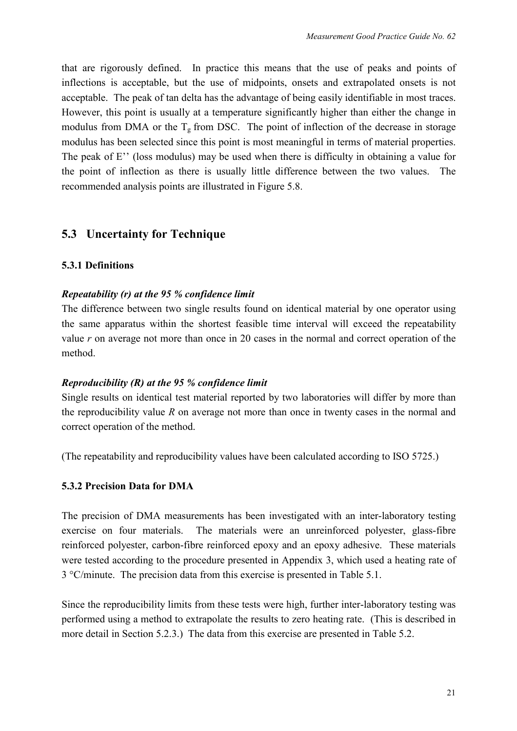that are rigorously defined. In practice this means that the use of peaks and points of inflections is acceptable, but the use of midpoints, onsets and extrapolated onsets is not acceptable. The peak of tan delta has the advantage of being easily identifiable in most traces. However, this point is usually at a temperature significantly higher than either the change in modulus from DMA or the  $T_g$  from DSC. The point of inflection of the decrease in storage modulus has been selected since this point is most meaningful in terms of material properties. The peak of E'' (loss modulus) may be used when there is difficulty in obtaining a value for the point of inflection as there is usually little difference between the two values. The recommended analysis points are illustrated in Figure 5.8.

## **5.3 Uncertainty for Technique**

#### **5.3.1 Definitions**

#### *Repeatability (r) at the 95 % confidence limit*

The difference between two single results found on identical material by one operator using the same apparatus within the shortest feasible time interval will exceed the repeatability value *r* on average not more than once in 20 cases in the normal and correct operation of the method.

#### *Reproducibility (R) at the 95 % confidence limit*

Single results on identical test material reported by two laboratories will differ by more than the reproducibility value *R* on average not more than once in twenty cases in the normal and correct operation of the method.

(The repeatability and reproducibility values have been calculated according to ISO 5725.)

#### **5.3.2 Precision Data for DMA**

The precision of DMA measurements has been investigated with an inter-laboratory testing exercise on four materials. The materials were an unreinforced polyester, glass-fibre reinforced polyester, carbon-fibre reinforced epoxy and an epoxy adhesive. These materials were tested according to the procedure presented in Appendix 3, which used a heating rate of 3 °C/minute. The precision data from this exercise is presented in Table 5.1.

Since the reproducibility limits from these tests were high, further inter-laboratory testing was performed using a method to extrapolate the results to zero heating rate. (This is described in more detail in Section 5.2.3.) The data from this exercise are presented in Table 5.2.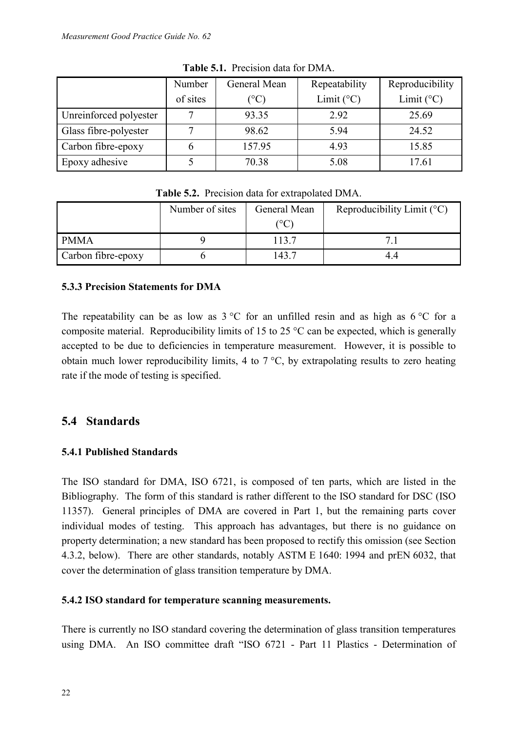|                        | Number<br>of sites | General Mean<br>$(^{\circ}\mathrm{C})$ | Repeatability<br>Limit $(^{\circ}C)$ | Reproducibility<br>Limit $(^{\circ}C)$ |
|------------------------|--------------------|----------------------------------------|--------------------------------------|----------------------------------------|
| Unreinforced polyester |                    | 93.35                                  | 2.92                                 | 25.69                                  |
| Glass fibre-polyester  |                    | 98.62                                  | 5.94                                 | 24.52                                  |
| Carbon fibre-epoxy     | h                  | 157.95                                 | 4.93                                 | 15.85                                  |
| Epoxy adhesive         |                    | 70.38                                  | 5.08                                 | 17.61                                  |

**Table 5.1.** Precision data for DMA.

| <b>rapic 3.4.</b> Treefsion data for extrapolated DWIA. |                 |               |                                       |  |  |  |  |
|---------------------------------------------------------|-----------------|---------------|---------------------------------------|--|--|--|--|
|                                                         | Number of sites | General Mean  | Reproducibility Limit $({}^{\circ}C)$ |  |  |  |  |
|                                                         |                 | ${}^{\circ}C$ |                                       |  |  |  |  |
| <b>PMMA</b>                                             |                 | 113.7         |                                       |  |  |  |  |
| Carbon fibre-epoxy                                      |                 | 43.7          | 4.4                                   |  |  |  |  |

## Table 5.2. Precision data for extrapolated DMA

#### **5.3.3 Precision Statements for DMA**

The repeatability can be as low as  $3 \degree C$  for an unfilled resin and as high as  $6 \degree C$  for a composite material. Reproducibility limits of 15 to 25 °C can be expected, which is generally accepted to be due to deficiencies in temperature measurement. However, it is possible to obtain much lower reproducibility limits, 4 to  $7^{\circ}$ C, by extrapolating results to zero heating rate if the mode of testing is specified.

#### **5.4 Standards**

#### **5.4.1 Published Standards**

The ISO standard for DMA, ISO 6721, is composed of ten parts, which are listed in the Bibliography. The form of this standard is rather different to the ISO standard for DSC (ISO 11357). General principles of DMA are covered in Part 1, but the remaining parts cover individual modes of testing. This approach has advantages, but there is no guidance on property determination; a new standard has been proposed to rectify this omission (see Section 4.3.2, below). There are other standards, notably ASTM E 1640: 1994 and prEN 6032, that cover the determination of glass transition temperature by DMA.

#### **5.4.2 ISO standard for temperature scanning measurements.**

There is currently no ISO standard covering the determination of glass transition temperatures using DMA. An ISO committee draft "ISO 6721 - Part 11 Plastics - Determination of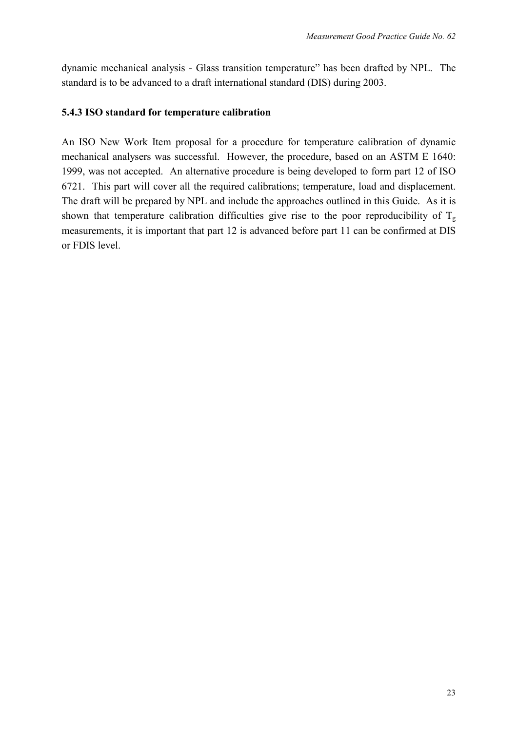dynamic mechanical analysis - Glass transition temperature" has been drafted by NPL. The standard is to be advanced to a draft international standard (DIS) during 2003.

#### **5.4.3 ISO standard for temperature calibration**

An ISO New Work Item proposal for a procedure for temperature calibration of dynamic mechanical analysers was successful. However, the procedure, based on an ASTM E 1640: 1999, was not accepted. An alternative procedure is being developed to form part 12 of ISO 6721. This part will cover all the required calibrations; temperature, load and displacement. The draft will be prepared by NPL and include the approaches outlined in this Guide. As it is shown that temperature calibration difficulties give rise to the poor reproducibility of  $T_g$ measurements, it is important that part 12 is advanced before part 11 can be confirmed at DIS or FDIS level.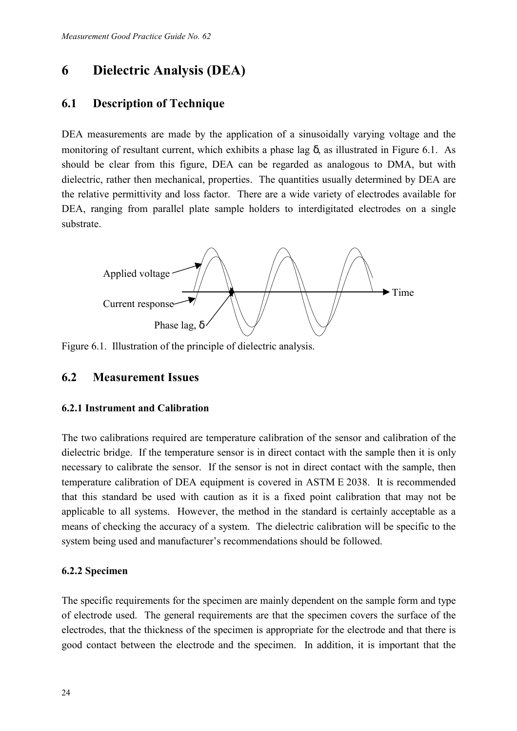## **6 Dielectric Analysis (DEA)**

#### **6.1 Description of Technique**

DEA measurements are made by the application of a sinusoidally varying voltage and the monitoring of resultant current, which exhibits a phase lag  $\delta$ , as illustrated in Figure 6.1. As should be clear from this figure, DEA can be regarded as analogous to DMA, but with dielectric, rather then mechanical, properties. The quantities usually determined by DEA are the relative permittivity and loss factor. There are a wide variety of electrodes available for DEA, ranging from parallel plate sample holders to interdigitated electrodes on a single substrate.



Figure 6.1. Illustration of the principle of dielectric analysis.

### **6.2 Measurement Issues**

#### **6.2.1 Instrument and Calibration**

The two calibrations required are temperature calibration of the sensor and calibration of the dielectric bridge. If the temperature sensor is in direct contact with the sample then it is only necessary to calibrate the sensor. If the sensor is not in direct contact with the sample, then temperature calibration of DEA equipment is covered in ASTM E 2038. It is recommended that this standard be used with caution as it is a fixed point calibration that may not be applicable to all systems. However, the method in the standard is certainly acceptable as a means of checking the accuracy of a system. The dielectric calibration will be specific to the system being used and manufacturer's recommendations should be followed.

#### **6.2.2 Specimen**

The specific requirements for the specimen are mainly dependent on the sample form and type of electrode used. The general requirements are that the specimen covers the surface of the electrodes, that the thickness of the specimen is appropriate for the electrode and that there is good contact between the electrode and the specimen. In addition, it is important that the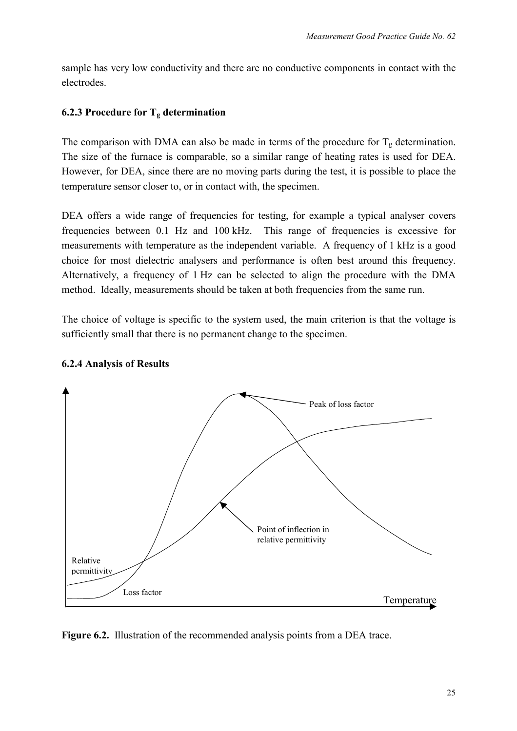sample has very low conductivity and there are no conductive components in contact with the electrodes.

#### **6.2.3 Procedure for Tg determination**

The comparison with DMA can also be made in terms of the procedure for  $T_g$  determination. The size of the furnace is comparable, so a similar range of heating rates is used for DEA. However, for DEA, since there are no moving parts during the test, it is possible to place the temperature sensor closer to, or in contact with, the specimen.

DEA offers a wide range of frequencies for testing, for example a typical analyser covers frequencies between 0.1 Hz and 100 kHz. This range of frequencies is excessive for measurements with temperature as the independent variable. A frequency of 1 kHz is a good choice for most dielectric analysers and performance is often best around this frequency. Alternatively, a frequency of 1 Hz can be selected to align the procedure with the DMA method. Ideally, measurements should be taken at both frequencies from the same run.

The choice of voltage is specific to the system used, the main criterion is that the voltage is sufficiently small that there is no permanent change to the specimen.



#### **6.2.4 Analysis of Results**

**Figure 6.2.** Illustration of the recommended analysis points from a DEA trace.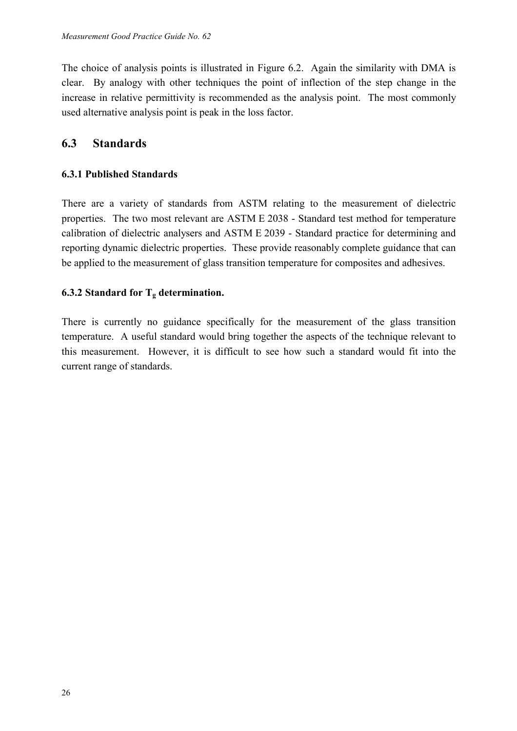The choice of analysis points is illustrated in Figure 6.2. Again the similarity with DMA is clear. By analogy with other techniques the point of inflection of the step change in the increase in relative permittivity is recommended as the analysis point. The most commonly used alternative analysis point is peak in the loss factor.

### **6.3 Standards**

#### **6.3.1 Published Standards**

There are a variety of standards from ASTM relating to the measurement of dielectric properties. The two most relevant are ASTM E 2038 - Standard test method for temperature calibration of dielectric analysers and ASTM E 2039 - Standard practice for determining and reporting dynamic dielectric properties. These provide reasonably complete guidance that can be applied to the measurement of glass transition temperature for composites and adhesives.

#### **6.3.2 Standard for**  $T_g$  **determination.**

There is currently no guidance specifically for the measurement of the glass transition temperature. A useful standard would bring together the aspects of the technique relevant to this measurement. However, it is difficult to see how such a standard would fit into the current range of standards.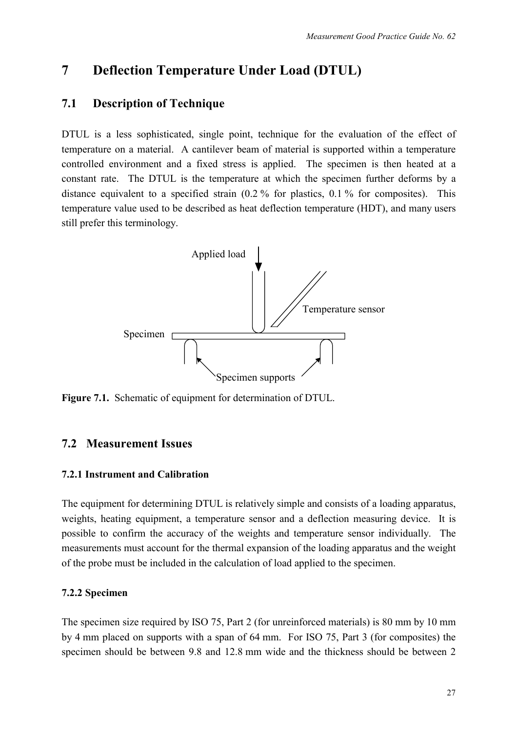## **7 Deflection Temperature Under Load (DTUL)**

### **7.1 Description of Technique**

DTUL is a less sophisticated, single point, technique for the evaluation of the effect of temperature on a material. A cantilever beam of material is supported within a temperature controlled environment and a fixed stress is applied. The specimen is then heated at a constant rate. The DTUL is the temperature at which the specimen further deforms by a distance equivalent to a specified strain (0.2 % for plastics, 0.1 % for composites). This temperature value used to be described as heat deflection temperature (HDT), and many users still prefer this terminology.



**Figure 7.1.** Schematic of equipment for determination of DTUL.

## **7.2 Measurement Issues**

#### **7.2.1 Instrument and Calibration**

The equipment for determining DTUL is relatively simple and consists of a loading apparatus, weights, heating equipment, a temperature sensor and a deflection measuring device. It is possible to confirm the accuracy of the weights and temperature sensor individually. The measurements must account for the thermal expansion of the loading apparatus and the weight of the probe must be included in the calculation of load applied to the specimen.

#### **7.2.2 Specimen**

The specimen size required by ISO 75, Part 2 (for unreinforced materials) is 80 mm by 10 mm by 4 mm placed on supports with a span of 64 mm. For ISO 75, Part 3 (for composites) the specimen should be between 9.8 and 12.8 mm wide and the thickness should be between 2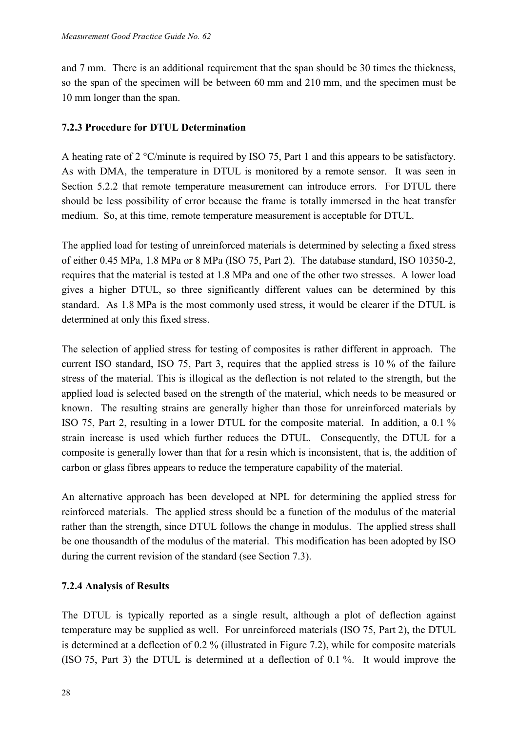and 7 mm. There is an additional requirement that the span should be 30 times the thickness, so the span of the specimen will be between 60 mm and 210 mm, and the specimen must be 10 mm longer than the span.

#### **7.2.3 Procedure for DTUL Determination**

A heating rate of 2 °C/minute is required by ISO 75, Part 1 and this appears to be satisfactory. As with DMA, the temperature in DTUL is monitored by a remote sensor. It was seen in Section 5.2.2 that remote temperature measurement can introduce errors. For DTUL there should be less possibility of error because the frame is totally immersed in the heat transfer medium. So, at this time, remote temperature measurement is acceptable for DTUL.

The applied load for testing of unreinforced materials is determined by selecting a fixed stress of either 0.45 MPa, 1.8 MPa or 8 MPa (ISO 75, Part 2). The database standard, ISO 10350-2, requires that the material is tested at 1.8 MPa and one of the other two stresses. A lower load gives a higher DTUL, so three significantly different values can be determined by this standard. As 1.8 MPa is the most commonly used stress, it would be clearer if the DTUL is determined at only this fixed stress.

The selection of applied stress for testing of composites is rather different in approach. The current ISO standard, ISO 75, Part 3, requires that the applied stress is 10 % of the failure stress of the material. This is illogical as the deflection is not related to the strength, but the applied load is selected based on the strength of the material, which needs to be measured or known. The resulting strains are generally higher than those for unreinforced materials by ISO 75, Part 2, resulting in a lower DTUL for the composite material. In addition, a 0.1 % strain increase is used which further reduces the DTUL. Consequently, the DTUL for a composite is generally lower than that for a resin which is inconsistent, that is, the addition of carbon or glass fibres appears to reduce the temperature capability of the material.

An alternative approach has been developed at NPL for determining the applied stress for reinforced materials. The applied stress should be a function of the modulus of the material rather than the strength, since DTUL follows the change in modulus. The applied stress shall be one thousandth of the modulus of the material. This modification has been adopted by ISO during the current revision of the standard (see Section 7.3).

#### **7.2.4 Analysis of Results**

The DTUL is typically reported as a single result, although a plot of deflection against temperature may be supplied as well. For unreinforced materials (ISO 75, Part 2), the DTUL is determined at a deflection of 0.2 % (illustrated in Figure 7.2), while for composite materials (ISO 75, Part 3) the DTUL is determined at a deflection of 0.1 %. It would improve the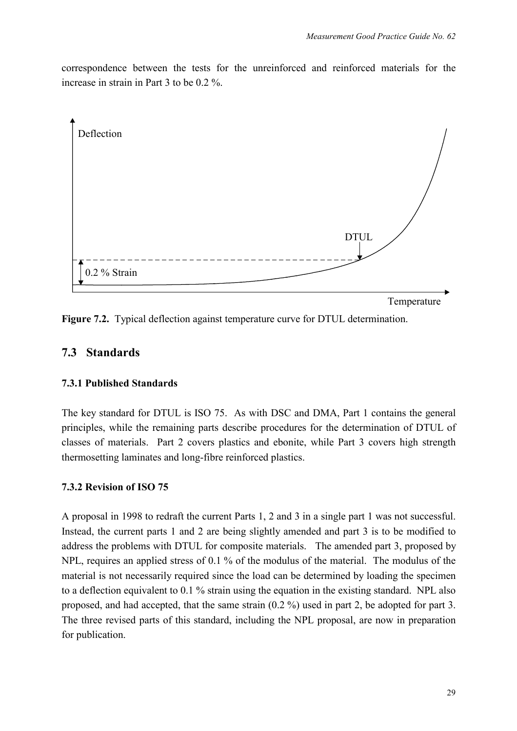correspondence between the tests for the unreinforced and reinforced materials for the increase in strain in Part 3 to be 0.2 %.



**Figure 7.2.** Typical deflection against temperature curve for DTUL determination.

## **7.3 Standards**

#### **7.3.1 Published Standards**

The key standard for DTUL is ISO 75. As with DSC and DMA, Part 1 contains the general principles, while the remaining parts describe procedures for the determination of DTUL of classes of materials. Part 2 covers plastics and ebonite, while Part 3 covers high strength thermosetting laminates and long-fibre reinforced plastics.

#### **7.3.2 Revision of ISO 75**

A proposal in 1998 to redraft the current Parts 1, 2 and 3 in a single part 1 was not successful. Instead, the current parts 1 and 2 are being slightly amended and part 3 is to be modified to address the problems with DTUL for composite materials. The amended part 3, proposed by NPL, requires an applied stress of 0.1 % of the modulus of the material. The modulus of the material is not necessarily required since the load can be determined by loading the specimen to a deflection equivalent to 0.1 % strain using the equation in the existing standard. NPL also proposed, and had accepted, that the same strain (0.2 %) used in part 2, be adopted for part 3. The three revised parts of this standard, including the NPL proposal, are now in preparation for publication.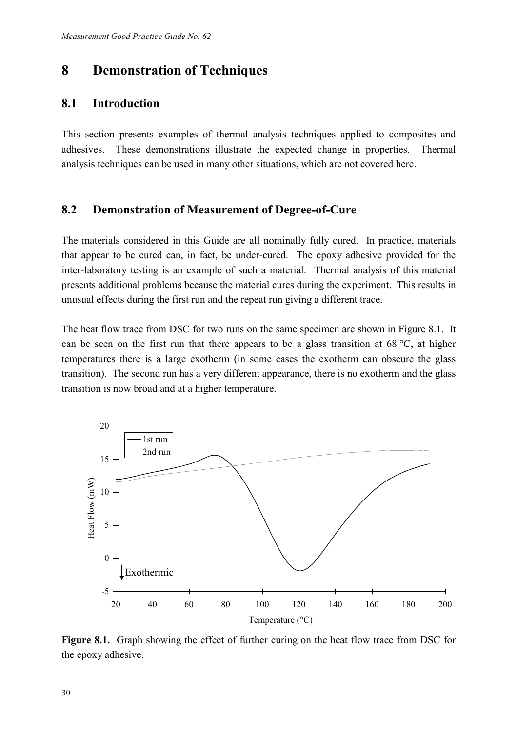## **8 Demonstration of Techniques**

### **8.1 Introduction**

This section presents examples of thermal analysis techniques applied to composites and adhesives. These demonstrations illustrate the expected change in properties. Thermal analysis techniques can be used in many other situations, which are not covered here.

### **8.2 Demonstration of Measurement of Degree-of-Cure**

The materials considered in this Guide are all nominally fully cured. In practice, materials that appear to be cured can, in fact, be under-cured. The epoxy adhesive provided for the inter-laboratory testing is an example of such a material. Thermal analysis of this material presents additional problems because the material cures during the experiment. This results in unusual effects during the first run and the repeat run giving a different trace.

The heat flow trace from DSC for two runs on the same specimen are shown in Figure 8.1. It can be seen on the first run that there appears to be a glass transition at 68 °C, at higher temperatures there is a large exotherm (in some cases the exotherm can obscure the glass transition). The second run has a very different appearance, there is no exotherm and the glass transition is now broad and at a higher temperature.



**Figure 8.1.** Graph showing the effect of further curing on the heat flow trace from DSC for the epoxy adhesive.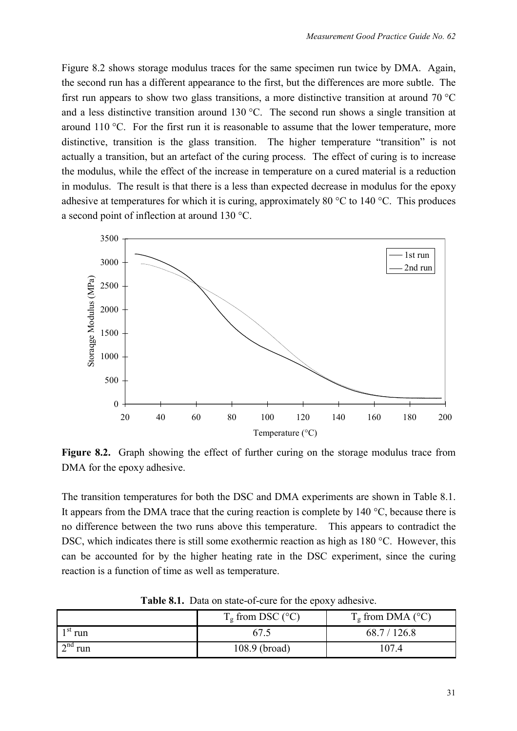Figure 8.2 shows storage modulus traces for the same specimen run twice by DMA. Again, the second run has a different appearance to the first, but the differences are more subtle. The first run appears to show two glass transitions, a more distinctive transition at around 70 °C and a less distinctive transition around 130 °C. The second run shows a single transition at around 110 °C. For the first run it is reasonable to assume that the lower temperature, more distinctive, transition is the glass transition. The higher temperature "transition" is not actually a transition, but an artefact of the curing process. The effect of curing is to increase the modulus, while the effect of the increase in temperature on a cured material is a reduction in modulus. The result is that there is a less than expected decrease in modulus for the epoxy adhesive at temperatures for which it is curing, approximately 80  $^{\circ}$ C to 140  $^{\circ}$ C. This produces a second point of inflection at around 130 °C.



**Figure 8.2.** Graph showing the effect of further curing on the storage modulus trace from DMA for the epoxy adhesive.

The transition temperatures for both the DSC and DMA experiments are shown in Table 8.1. It appears from the DMA trace that the curing reaction is complete by  $140^{\circ}$ C, because there is no difference between the two runs above this temperature. This appears to contradict the DSC, which indicates there is still some exothermic reaction as high as 180 °C. However, this can be accounted for by the higher heating rate in the DSC experiment, since the curing reaction is a function of time as well as temperature.

|                              | $T_g$ from DSC (°C) | $T_g$ from DMA ( $^{\circ}$ C) |
|------------------------------|---------------------|--------------------------------|
| $1st$ run                    | 67.5                | 68.7 / 126.8                   |
| $\mathbb{R}^{\text{nd}}$ run | 108.9 (broad)       | 107.4                          |

**Table 8.1.** Data on state-of-cure for the epoxy adhesive.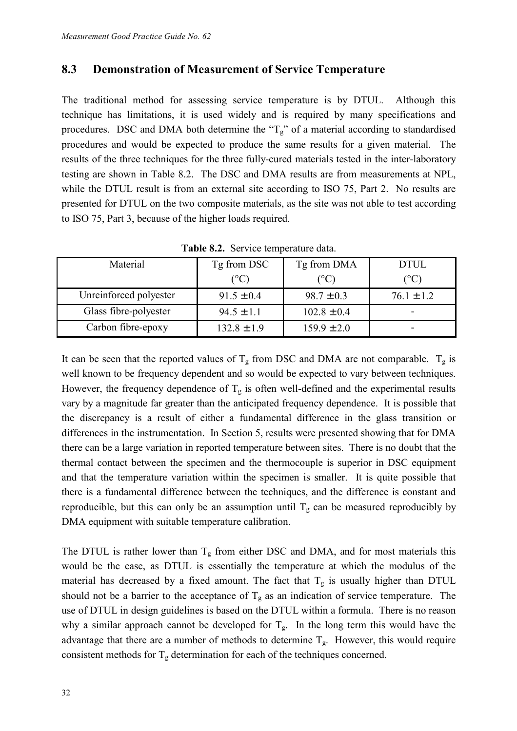#### **8.3 Demonstration of Measurement of Service Temperature**

The traditional method for assessing service temperature is by DTUL. Although this technique has limitations, it is used widely and is required by many specifications and procedures. DSC and DMA both determine the " $T_g$ " of a material according to standardised procedures and would be expected to produce the same results for a given material. The results of the three techniques for the three fully-cured materials tested in the inter-laboratory testing are shown in Table 8.2. The DSC and DMA results are from measurements at NPL, while the DTUL result is from an external site according to ISO 75, Part 2. No results are presented for DTUL on the two composite materials, as the site was not able to test according to ISO 75, Part 3, because of the higher loads required.

| Material               | Tg from DSC            | Tg from DMA     | <b>DTUL</b>            |  |  |  |
|------------------------|------------------------|-----------------|------------------------|--|--|--|
|                        | $({}^\circ\mathrm{C})$ | $(^{\circ}C)$   | $({}^\circ\mathrm{C})$ |  |  |  |
| Unreinforced polyester | $91.5 \pm 0.4$         | $98.7 \pm 0.3$  | $76.1 \pm 1.2$         |  |  |  |
| Glass fibre-polyester  | $94.5 \pm 1.1$         | $102.8 \pm 0.4$ |                        |  |  |  |
| Carbon fibre-epoxy     | $132.8 \pm 1.9$        | $159.9 \pm 2.0$ | -                      |  |  |  |

**Table 8.2.** Service temperature data.

It can be seen that the reported values of  $T_g$  from DSC and DMA are not comparable.  $T_g$  is well known to be frequency dependent and so would be expected to vary between techniques. However, the frequency dependence of  $T_g$  is often well-defined and the experimental results vary by a magnitude far greater than the anticipated frequency dependence. It is possible that the discrepancy is a result of either a fundamental difference in the glass transition or differences in the instrumentation. In Section 5, results were presented showing that for DMA there can be a large variation in reported temperature between sites. There is no doubt that the thermal contact between the specimen and the thermocouple is superior in DSC equipment and that the temperature variation within the specimen is smaller. It is quite possible that there is a fundamental difference between the techniques, and the difference is constant and reproducible, but this can only be an assumption until  $T_g$  can be measured reproducibly by DMA equipment with suitable temperature calibration.

The DTUL is rather lower than  $T_g$  from either DSC and DMA, and for most materials this would be the case, as DTUL is essentially the temperature at which the modulus of the material has decreased by a fixed amount. The fact that  $T_g$  is usually higher than DTUL should not be a barrier to the acceptance of  $T_g$  as an indication of service temperature. The use of DTUL in design guidelines is based on the DTUL within a formula. There is no reason why a similar approach cannot be developed for  $T_g$ . In the long term this would have the advantage that there are a number of methods to determine  $T_g$ . However, this would require consistent methods for  $T_g$  determination for each of the techniques concerned.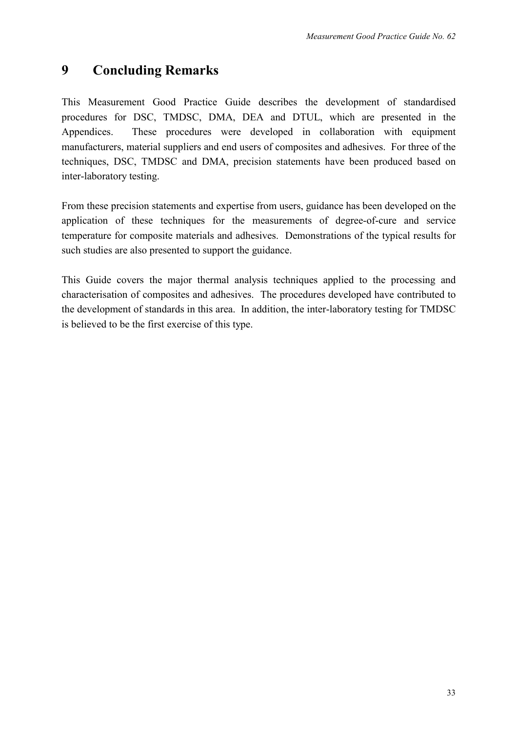## **9 Concluding Remarks**

This Measurement Good Practice Guide describes the development of standardised procedures for DSC, TMDSC, DMA, DEA and DTUL, which are presented in the Appendices. These procedures were developed in collaboration with equipment manufacturers, material suppliers and end users of composites and adhesives. For three of the techniques, DSC, TMDSC and DMA, precision statements have been produced based on inter-laboratory testing.

From these precision statements and expertise from users, guidance has been developed on the application of these techniques for the measurements of degree-of-cure and service temperature for composite materials and adhesives. Demonstrations of the typical results for such studies are also presented to support the guidance.

This Guide covers the major thermal analysis techniques applied to the processing and characterisation of composites and adhesives. The procedures developed have contributed to the development of standards in this area. In addition, the inter-laboratory testing for TMDSC is believed to be the first exercise of this type.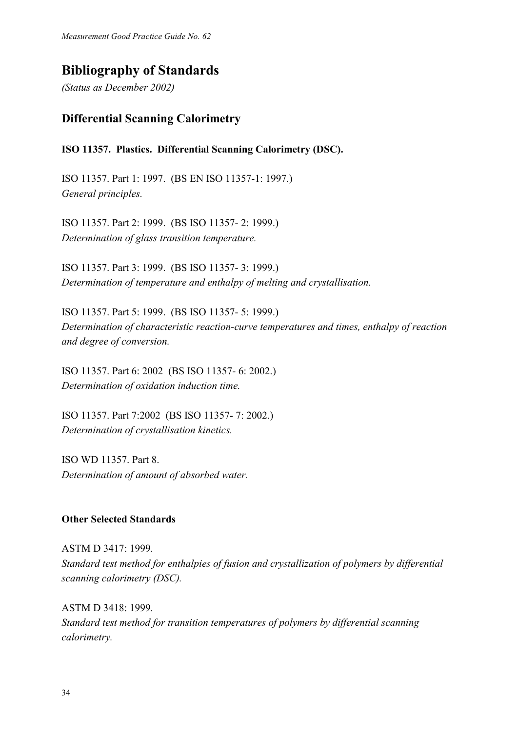*Measurement Good Practice Guide No. 62*

## **Bibliography of Standards**

*(Status as December 2002)*

## **Differential Scanning Calorimetry**

#### **ISO 11357. Plastics. Differential Scanning Calorimetry (DSC).**

ISO 11357. Part 1: 1997. (BS EN ISO 11357-1: 1997.) *General principles.* 

ISO 11357. Part 2: 1999. (BS ISO 11357- 2: 1999.) *Determination of glass transition temperature.* 

ISO 11357. Part 3: 1999. (BS ISO 11357- 3: 1999.) *Determination of temperature and enthalpy of melting and crystallisation.* 

ISO 11357. Part 5: 1999. (BS ISO 11357- 5: 1999.) *Determination of characteristic reaction-curve temperatures and times, enthalpy of reaction and degree of conversion.* 

ISO 11357. Part 6: 2002 (BS ISO 11357- 6: 2002.) *Determination of oxidation induction time.* 

ISO 11357. Part 7:2002 (BS ISO 11357- 7: 2002.) *Determination of crystallisation kinetics.* 

ISO WD 11357. Part 8. *Determination of amount of absorbed water.* 

#### **Other Selected Standards**

ASTM D 3417: 1999*. Standard test method for enthalpies of fusion and crystallization of polymers by differential scanning calorimetry (DSC).* 

ASTM D 3418: 1999*. Standard test method for transition temperatures of polymers by differential scanning calorimetry.*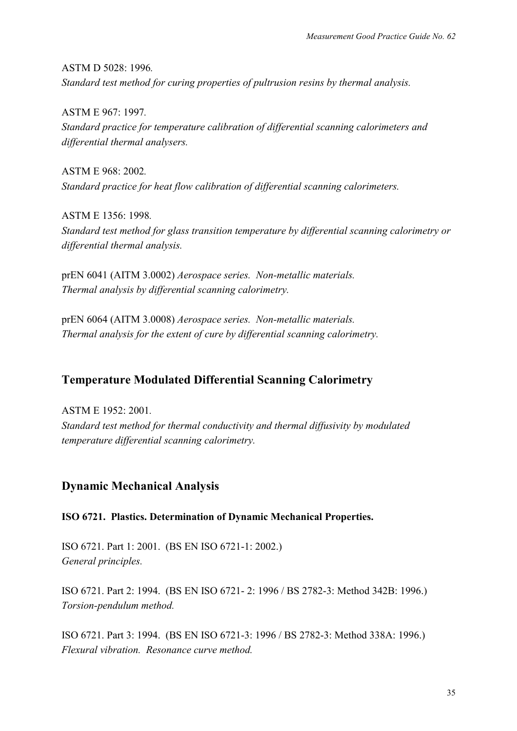ASTM D 5028: 1996*. Standard test method for curing properties of pultrusion resins by thermal analysis.* 

ASTM E 967: 1997*. Standard practice for temperature calibration of differential scanning calorimeters and differential thermal analysers.* 

ASTM E 968: 2002*. Standard practice for heat flow calibration of differential scanning calorimeters.* 

ASTM E 1356: 1998*. Standard test method for glass transition temperature by differential scanning calorimetry or differential thermal analysis.* 

prEN 6041 (AITM 3.0002) *Aerospace series. Non-metallic materials. Thermal analysis by differential scanning calorimetry.* 

prEN 6064 (AITM 3.0008) *Aerospace series. Non-metallic materials. Thermal analysis for the extent of cure by differential scanning calorimetry.* 

## **Temperature Modulated Differential Scanning Calorimetry**

ASTM E 1952: 2001*. Standard test method for thermal conductivity and thermal diffusivity by modulated temperature differential scanning calorimetry.* 

## **Dynamic Mechanical Analysis**

**ISO 6721. Plastics. Determination of Dynamic Mechanical Properties.** 

ISO 6721. Part 1: 2001. (BS EN ISO 6721-1: 2002.) *General principles.* 

ISO 6721. Part 2: 1994. (BS EN ISO 6721- 2: 1996 / BS 2782-3: Method 342B: 1996.) *Torsion-pendulum method.* 

ISO 6721. Part 3: 1994. (BS EN ISO 6721-3: 1996 / BS 2782-3: Method 338A: 1996.) *Flexural vibration. Resonance curve method.*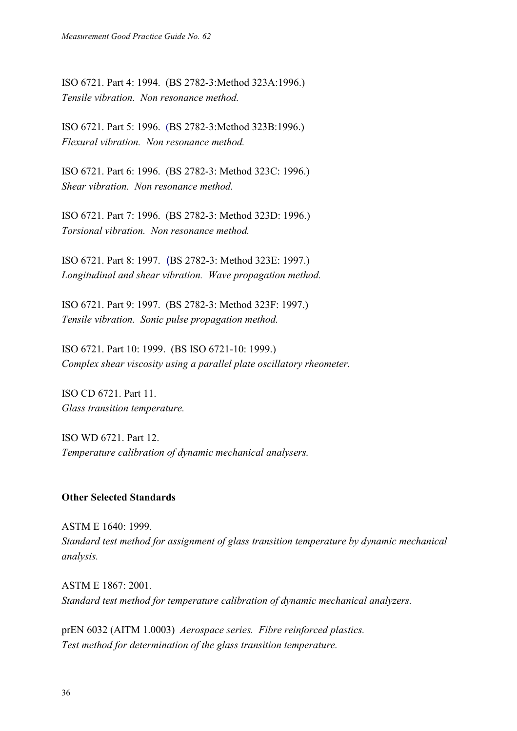ISO 6721. Part 4: 1994. (BS 2782-3:Method 323A:1996.) *Tensile vibration. Non resonance method.*

ISO 6721. Part 5: 1996. (BS 2782-3:Method 323B:1996.) *Flexural vibration. Non resonance method.*

ISO 6721. Part 6: 1996. (BS 2782-3: Method 323C: 1996.) *Shear vibration. Non resonance method.*

ISO 6721. Part 7: 1996. (BS 2782-3: Method 323D: 1996.) *Torsional vibration. Non resonance method.* 

ISO 6721. Part 8: 1997. (BS 2782-3: Method 323E: 1997.) *Longitudinal and shear vibration. Wave propagation method.*

ISO 6721. Part 9: 1997. (BS 2782-3: Method 323F: 1997.) *Tensile vibration. Sonic pulse propagation method.*

ISO 6721. Part 10: 1999. (BS ISO 6721-10: 1999.) *Complex shear viscosity using a parallel plate oscillatory rheometer.* 

ISO CD 6721. Part 11. *Glass transition temperature.*

ISO WD 6721. Part 12. *Temperature calibration of dynamic mechanical analysers.*

#### **Other Selected Standards**

ASTM E 1640: 1999*. Standard test method for assignment of glass transition temperature by dynamic mechanical analysis.* 

ASTM E 1867: 2001*. Standard test method for temperature calibration of dynamic mechanical analyzers.*

prEN 6032 (AITM 1.0003) *Aerospace series. Fibre reinforced plastics. Test method for determination of the glass transition temperature.*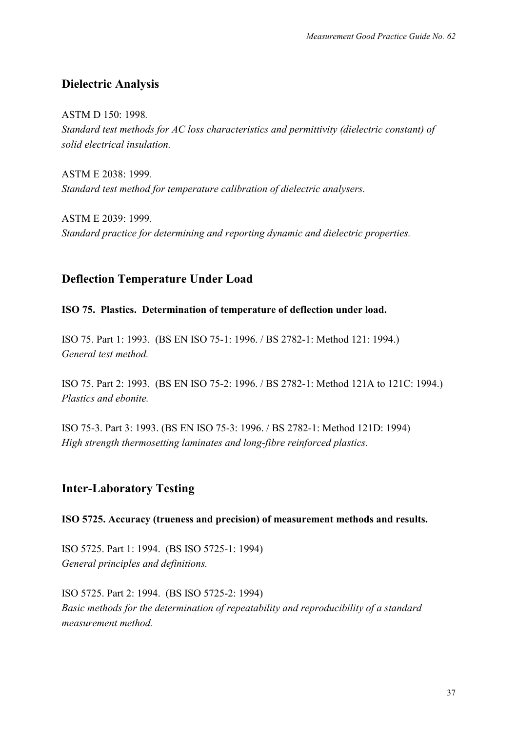## **Dielectric Analysis**

ASTM D 150: 1998*.*

*Standard test methods for AC loss characteristics and permittivity (dielectric constant) of solid electrical insulation.* 

ASTM E 2038: 1999*. Standard test method for temperature calibration of dielectric analysers.*

ASTM E 2039: 1999*. Standard practice for determining and reporting dynamic and dielectric properties.* 

## **Deflection Temperature Under Load**

#### **ISO 75. Plastics. Determination of temperature of deflection under load.**

ISO 75. Part 1: 1993. (BS EN ISO 75-1: 1996. / BS 2782-1: Method 121: 1994.) *General test method.* 

ISO 75. Part 2: 1993. (BS EN ISO 75-2: 1996. / BS 2782-1: Method 121A to 121C: 1994.) *Plastics and ebonite.*

ISO 75-3. Part 3: 1993. (BS EN ISO 75-3: 1996. / BS 2782-1: Method 121D: 1994) *High strength thermosetting laminates and long-fibre reinforced plastics.*

## **Inter-Laboratory Testing**

**ISO 5725. Accuracy (trueness and precision) of measurement methods and results.**

ISO 5725. Part 1: 1994. (BS ISO 5725-1: 1994) *General principles and definitions.* 

ISO 5725. Part 2: 1994. (BS ISO 5725-2: 1994) *Basic methods for the determination of repeatability and reproducibility of a standard measurement method.*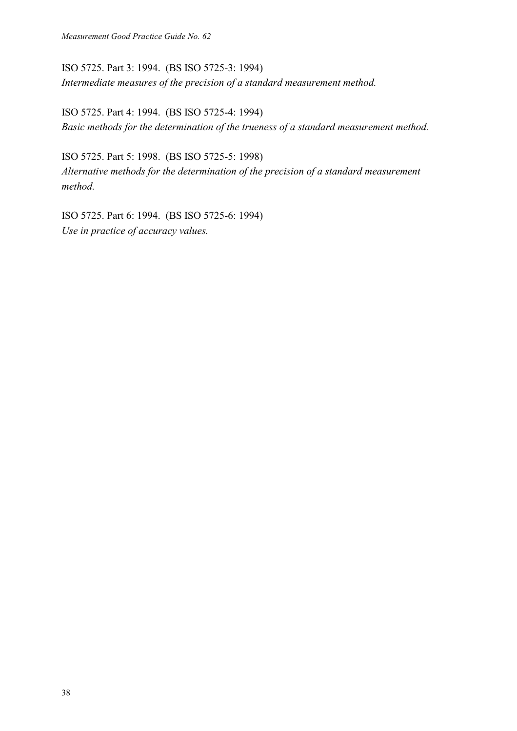ISO 5725. Part 3: 1994. (BS ISO 5725-3: 1994) *Intermediate measures of the precision of a standard measurement method.*

ISO 5725. Part 4: 1994. (BS ISO 5725-4: 1994) *Basic methods for the determination of the trueness of a standard measurement method.*

ISO 5725. Part 5: 1998. (BS ISO 5725-5: 1998) *Alternative methods for the determination of the precision of a standard measurement method.*

ISO 5725. Part 6: 1994. (BS ISO 5725-6: 1994) *Use in practice of accuracy values.*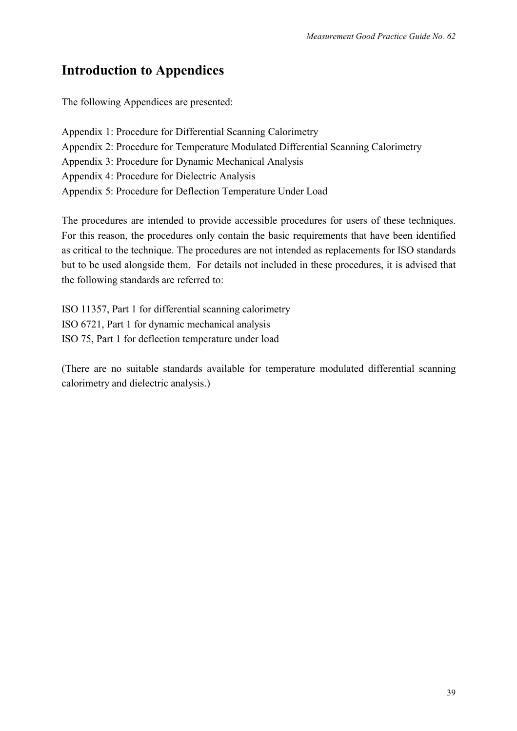## **Introduction to Appendices**

The following Appendices are presented:

Appendix 1: Procedure for Differential Scanning Calorimetry Appendix 2: Procedure for Temperature Modulated Differential Scanning Calorimetry Appendix 3: Procedure for Dynamic Mechanical Analysis Appendix 4: Procedure for Dielectric Analysis Appendix 5: Procedure for Deflection Temperature Under Load

The procedures are intended to provide accessible procedures for users of these techniques. For this reason, the procedures only contain the basic requirements that have been identified as critical to the technique. The procedures are not intended as replacements for ISO standards but to be used alongside them. For details not included in these procedures, it is advised that the following standards are referred to:

ISO 11357, Part 1 for differential scanning calorimetry ISO 6721, Part 1 for dynamic mechanical analysis ISO 75, Part 1 for deflection temperature under load

(There are no suitable standards available for temperature modulated differential scanning calorimetry and dielectric analysis.)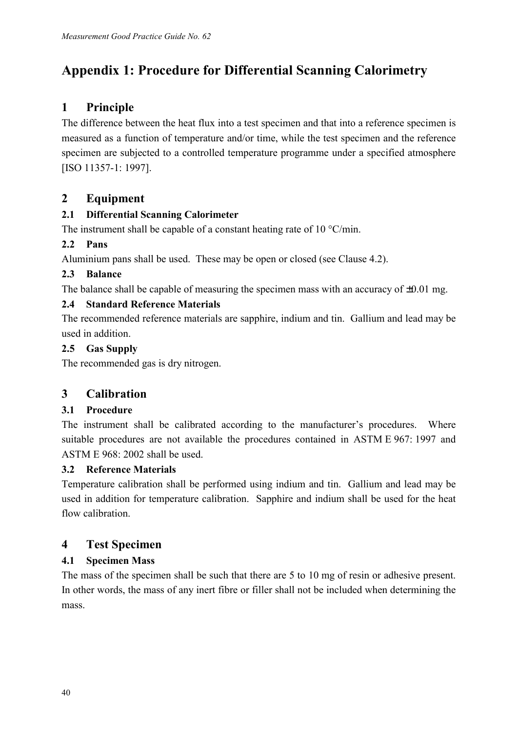# **Appendix 1: Procedure for Differential Scanning Calorimetry**

## **1 Principle**

The difference between the heat flux into a test specimen and that into a reference specimen is measured as a function of temperature and/or time, while the test specimen and the reference specimen are subjected to a controlled temperature programme under a specified atmosphere [ISO 11357-1: 1997].

## **2 Equipment**

### **2.1 Differential Scanning Calorimeter**

The instrument shall be capable of a constant heating rate of 10  $\degree$ C/min.

## **2.2 Pans**

Aluminium pans shall be used. These may be open or closed (see Clause 4.2).

### **2.3 Balance**

The balance shall be capable of measuring the specimen mass with an accuracy of  $\pm 0.01$  mg.

### **2.4 Standard Reference Materials**

The recommended reference materials are sapphire, indium and tin. Gallium and lead may be used in addition.

### **2.5 Gas Supply**

The recommended gas is dry nitrogen.

## **3 Calibration**

## **3.1 Procedure**

The instrument shall be calibrated according to the manufacturer's procedures. Where suitable procedures are not available the procedures contained in ASTM E 967: 1997 and ASTM E 968: 2002 shall be used.

## **3.2 Reference Materials**

Temperature calibration shall be performed using indium and tin. Gallium and lead may be used in addition for temperature calibration. Sapphire and indium shall be used for the heat flow calibration.

## **4 Test Specimen**

## **4.1 Specimen Mass**

The mass of the specimen shall be such that there are 5 to 10 mg of resin or adhesive present. In other words, the mass of any inert fibre or filler shall not be included when determining the mass.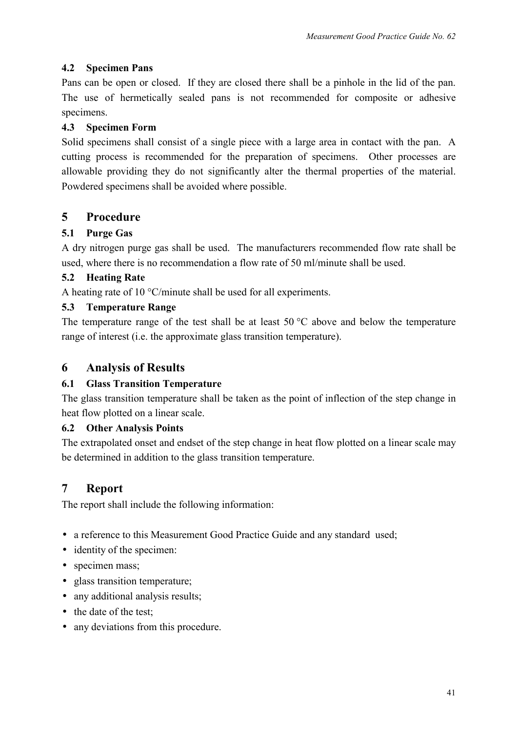#### **4.2 Specimen Pans**

Pans can be open or closed. If they are closed there shall be a pinhole in the lid of the pan. The use of hermetically sealed pans is not recommended for composite or adhesive specimens.

### **4.3 Specimen Form**

Solid specimens shall consist of a single piece with a large area in contact with the pan. A cutting process is recommended for the preparation of specimens. Other processes are allowable providing they do not significantly alter the thermal properties of the material. Powdered specimens shall be avoided where possible.

## **5 Procedure**

### **5.1 Purge Gas**

A dry nitrogen purge gas shall be used. The manufacturers recommended flow rate shall be used, where there is no recommendation a flow rate of 50 ml/minute shall be used.

### **5.2 Heating Rate**

A heating rate of 10 °C/minute shall be used for all experiments.

### **5.3 Temperature Range**

The temperature range of the test shall be at least  $50^{\circ}$ C above and below the temperature range of interest (i.e. the approximate glass transition temperature).

## **6 Analysis of Results**

#### **6.1 Glass Transition Temperature**

The glass transition temperature shall be taken as the point of inflection of the step change in heat flow plotted on a linear scale.

#### **6.2 Other Analysis Points**

The extrapolated onset and endset of the step change in heat flow plotted on a linear scale may be determined in addition to the glass transition temperature.

## **7 Report**

The report shall include the following information:

- a reference to this Measurement Good Practice Guide and any standard used;
- identity of the specimen:
- specimen mass;
- glass transition temperature;
- any additional analysis results;
- the date of the test;
- any deviations from this procedure.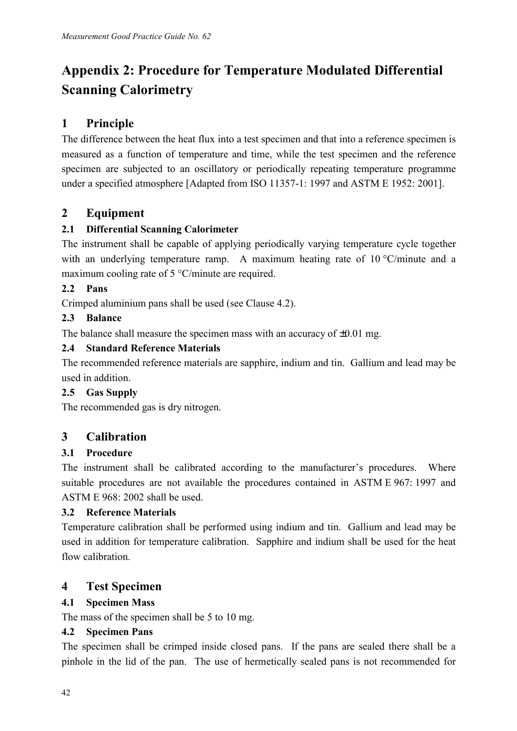# **Appendix 2: Procedure for Temperature Modulated Differential Scanning Calorimetry**

## **1 Principle**

The difference between the heat flux into a test specimen and that into a reference specimen is measured as a function of temperature and time, while the test specimen and the reference specimen are subjected to an oscillatory or periodically repeating temperature programme under a specified atmosphere [Adapted from ISO 11357-1: 1997 and ASTM E 1952: 2001].

## **2 Equipment**

## **2.1 Differential Scanning Calorimeter**

The instrument shall be capable of applying periodically varying temperature cycle together with an underlying temperature ramp. A maximum heating rate of 10 °C/minute and a maximum cooling rate of 5 °C/minute are required.

### **2.2 Pans**

Crimped aluminium pans shall be used (see Clause 4.2).

### **2.3 Balance**

The balance shall measure the specimen mass with an accuracy of  $\pm 0.01$  mg.

### **2.4 Standard Reference Materials**

The recommended reference materials are sapphire, indium and tin. Gallium and lead may be used in addition.

## **2.5 Gas Supply**

The recommended gas is dry nitrogen.

## **3 Calibration**

## **3.1 Procedure**

The instrument shall be calibrated according to the manufacturer's procedures. Where suitable procedures are not available the procedures contained in ASTM E 967: 1997 and ASTM E  $968 \cdot 2002$  shall be used.

## **3.2 Reference Materials**

Temperature calibration shall be performed using indium and tin. Gallium and lead may be used in addition for temperature calibration. Sapphire and indium shall be used for the heat flow calibration.

## **4 Test Specimen**

## **4.1 Specimen Mass**

The mass of the specimen shall be 5 to 10 mg.

#### **4.2 Specimen Pans**

The specimen shall be crimped inside closed pans. If the pans are sealed there shall be a pinhole in the lid of the pan. The use of hermetically sealed pans is not recommended for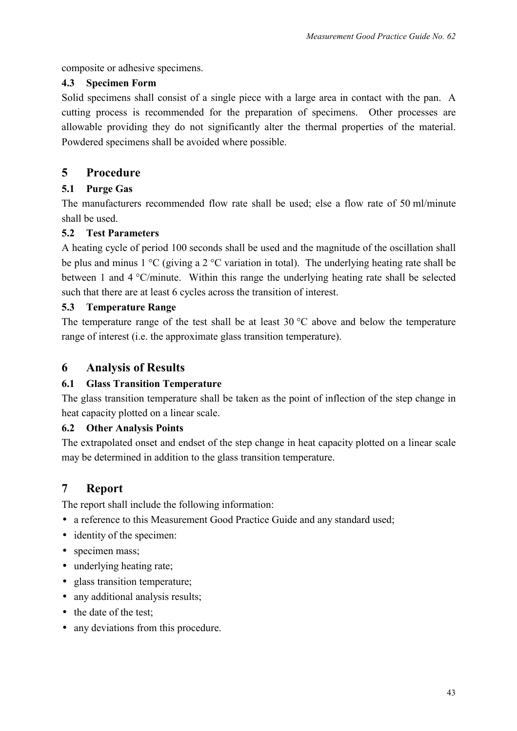composite or adhesive specimens.

#### **4.3 Specimen Form**

Solid specimens shall consist of a single piece with a large area in contact with the pan. A cutting process is recommended for the preparation of specimens. Other processes are allowable providing they do not significantly alter the thermal properties of the material. Powdered specimens shall be avoided where possible.

## **5 Procedure**

#### **5.1 Purge Gas**

The manufacturers recommended flow rate shall be used; else a flow rate of 50 ml/minute shall be used.

### **5.2 Test Parameters**

A heating cycle of period 100 seconds shall be used and the magnitude of the oscillation shall be plus and minus 1 °C (giving a 2 °C variation in total). The underlying heating rate shall be between 1 and 4 °C/minute. Within this range the underlying heating rate shall be selected such that there are at least 6 cycles across the transition of interest.

#### **5.3 Temperature Range**

The temperature range of the test shall be at least  $30^{\circ}$ C above and below the temperature range of interest (i.e. the approximate glass transition temperature).

## **6 Analysis of Results**

#### **6.1 Glass Transition Temperature**

The glass transition temperature shall be taken as the point of inflection of the step change in heat capacity plotted on a linear scale.

#### **6.2 Other Analysis Points**

The extrapolated onset and endset of the step change in heat capacity plotted on a linear scale may be determined in addition to the glass transition temperature.

## **7 Report**

The report shall include the following information:

- a reference to this Measurement Good Practice Guide and any standard used;
- identity of the specimen:
- specimen mass:
- underlying heating rate;
- glass transition temperature;
- any additional analysis results:
- the date of the test;
- any deviations from this procedure.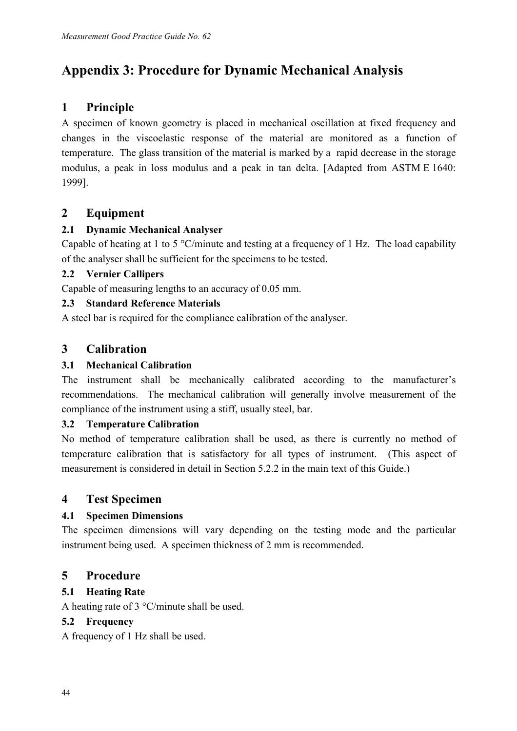# **Appendix 3: Procedure for Dynamic Mechanical Analysis**

## **1 Principle**

A specimen of known geometry is placed in mechanical oscillation at fixed frequency and changes in the viscoelastic response of the material are monitored as a function of temperature. The glass transition of the material is marked by a rapid decrease in the storage modulus, a peak in loss modulus and a peak in tan delta. [Adapted from ASTM E 1640: 1999].

## **2 Equipment**

### **2.1 Dynamic Mechanical Analyser**

Capable of heating at 1 to 5  $\degree$ C/minute and testing at a frequency of 1 Hz. The load capability of the analyser shall be sufficient for the specimens to be tested.

#### **2.2 Vernier Callipers**

Capable of measuring lengths to an accuracy of 0.05 mm.

#### **2.3 Standard Reference Materials**

A steel bar is required for the compliance calibration of the analyser.

## **3 Calibration**

#### **3.1 Mechanical Calibration**

The instrument shall be mechanically calibrated according to the manufacturer's recommendations. The mechanical calibration will generally involve measurement of the compliance of the instrument using a stiff, usually steel, bar.

#### **3.2 Temperature Calibration**

No method of temperature calibration shall be used, as there is currently no method of temperature calibration that is satisfactory for all types of instrument. (This aspect of measurement is considered in detail in Section 5.2.2 in the main text of this Guide.)

## **4 Test Specimen**

#### **4.1 Specimen Dimensions**

The specimen dimensions will vary depending on the testing mode and the particular instrument being used. A specimen thickness of 2 mm is recommended.

## **5 Procedure**

#### **5.1 Heating Rate**

A heating rate of 3 °C/minute shall be used.

#### **5.2 Frequency**

A frequency of 1 Hz shall be used.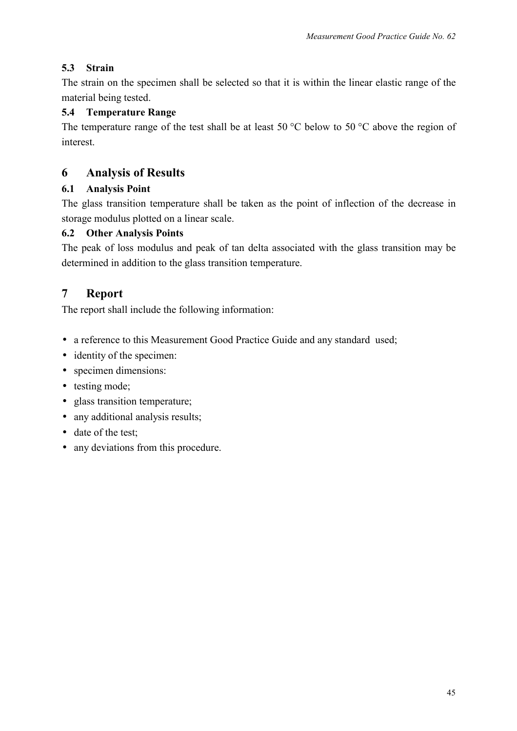#### **5.3 Strain**

The strain on the specimen shall be selected so that it is within the linear elastic range of the material being tested.

#### **5.4 Temperature Range**

The temperature range of the test shall be at least 50 °C below to 50 °C above the region of interest.

### **6 Analysis of Results**

#### **6.1 Analysis Point**

The glass transition temperature shall be taken as the point of inflection of the decrease in storage modulus plotted on a linear scale.

#### **6.2 Other Analysis Points**

The peak of loss modulus and peak of tan delta associated with the glass transition may be determined in addition to the glass transition temperature.

## **7 Report**

The report shall include the following information:

- a reference to this Measurement Good Practice Guide and any standard used;
- identity of the specimen:
- specimen dimensions:
- testing mode;
- glass transition temperature;
- any additional analysis results;
- date of the test;
- any deviations from this procedure.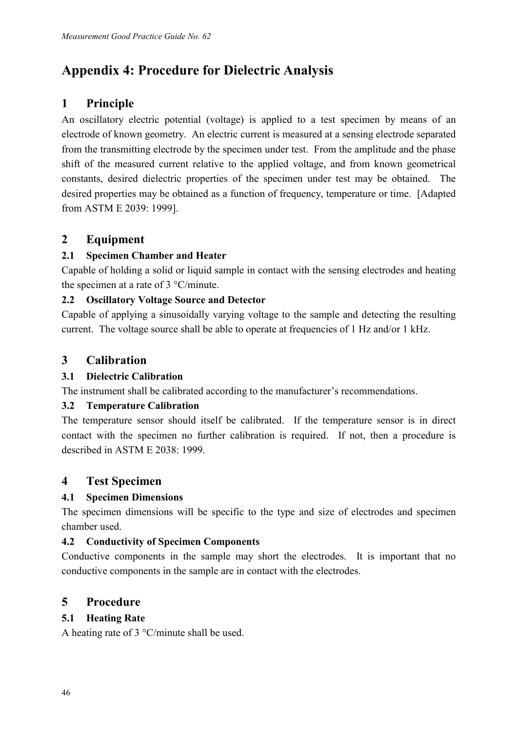# **Appendix 4: Procedure for Dielectric Analysis**

## **1 Principle**

An oscillatory electric potential (voltage) is applied to a test specimen by means of an electrode of known geometry. An electric current is measured at a sensing electrode separated from the transmitting electrode by the specimen under test. From the amplitude and the phase shift of the measured current relative to the applied voltage, and from known geometrical constants, desired dielectric properties of the specimen under test may be obtained. The desired properties may be obtained as a function of frequency, temperature or time. [Adapted from ASTM E 2039: 1999].

## **2 Equipment**

#### **2.1 Specimen Chamber and Heater**

Capable of holding a solid or liquid sample in contact with the sensing electrodes and heating the specimen at a rate of 3 °C/minute.

#### **2.2 Oscillatory Voltage Source and Detector**

Capable of applying a sinusoidally varying voltage to the sample and detecting the resulting current. The voltage source shall be able to operate at frequencies of 1 Hz and/or 1 kHz.

## **3 Calibration**

#### **3.1 Dielectric Calibration**

The instrument shall be calibrated according to the manufacturer's recommendations.

#### **3.2 Temperature Calibration**

The temperature sensor should itself be calibrated. If the temperature sensor is in direct contact with the specimen no further calibration is required. If not, then a procedure is described in ASTM E 2038: 1999.

## **4 Test Specimen**

#### **4.1 Specimen Dimensions**

The specimen dimensions will be specific to the type and size of electrodes and specimen chamber used.

#### **4.2 Conductivity of Specimen Components**

Conductive components in the sample may short the electrodes. It is important that no conductive components in the sample are in contact with the electrodes.

## **5 Procedure**

#### **5.1 Heating Rate**

A heating rate of 3 °C/minute shall be used.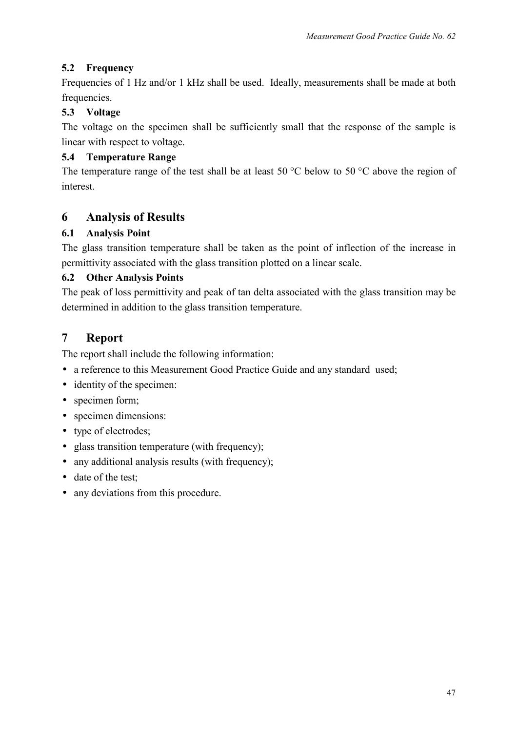#### **5.2 Frequency**

Frequencies of 1 Hz and/or 1 kHz shall be used. Ideally, measurements shall be made at both frequencies.

#### **5.3 Voltage**

The voltage on the specimen shall be sufficiently small that the response of the sample is linear with respect to voltage.

#### **5.4 Temperature Range**

The temperature range of the test shall be at least 50  $\degree$ C below to 50  $\degree$ C above the region of interest.

## **6 Analysis of Results**

#### **6.1 Analysis Point**

The glass transition temperature shall be taken as the point of inflection of the increase in permittivity associated with the glass transition plotted on a linear scale.

#### **6.2 Other Analysis Points**

The peak of loss permittivity and peak of tan delta associated with the glass transition may be determined in addition to the glass transition temperature.

## **7 Report**

The report shall include the following information:

- a reference to this Measurement Good Practice Guide and any standard used;
- identity of the specimen:
- specimen form;
- specimen dimensions:
- type of electrodes;
- glass transition temperature (with frequency);
- any additional analysis results (with frequency);
- date of the test;
- any deviations from this procedure.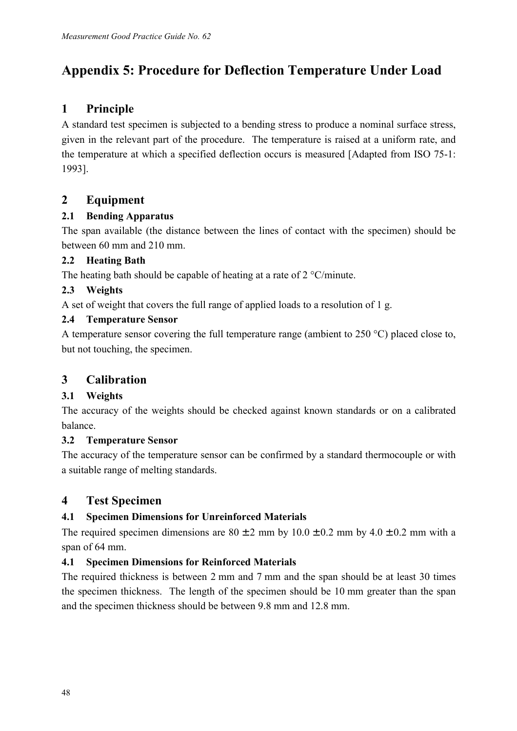# **Appendix 5: Procedure for Deflection Temperature Under Load**

## **1 Principle**

A standard test specimen is subjected to a bending stress to produce a nominal surface stress, given in the relevant part of the procedure. The temperature is raised at a uniform rate, and the temperature at which a specified deflection occurs is measured [Adapted from ISO 75-1: 1993].

## **2 Equipment**

## **2.1 Bending Apparatus**

The span available (the distance between the lines of contact with the specimen) should be between 60 mm and 210 mm.

## **2.2 Heating Bath**

The heating bath should be capable of heating at a rate of 2 °C/minute.

### **2.3 Weights**

A set of weight that covers the full range of applied loads to a resolution of 1 g.

### **2.4 Temperature Sensor**

A temperature sensor covering the full temperature range (ambient to 250 °C) placed close to, but not touching, the specimen.

## **3 Calibration**

## **3.1 Weights**

The accuracy of the weights should be checked against known standards or on a calibrated balance.

## **3.2 Temperature Sensor**

The accuracy of the temperature sensor can be confirmed by a standard thermocouple or with a suitable range of melting standards.

## **4 Test Specimen**

## **4.1 Specimen Dimensions for Unreinforced Materials**

The required specimen dimensions are  $80 \pm 2$  mm by  $10.0 \pm 0.2$  mm by  $4.0 \pm 0.2$  mm with a span of 64 mm.

## **4.1 Specimen Dimensions for Reinforced Materials**

The required thickness is between 2 mm and 7 mm and the span should be at least 30 times the specimen thickness. The length of the specimen should be 10 mm greater than the span and the specimen thickness should be between 9.8 mm and 12.8 mm.